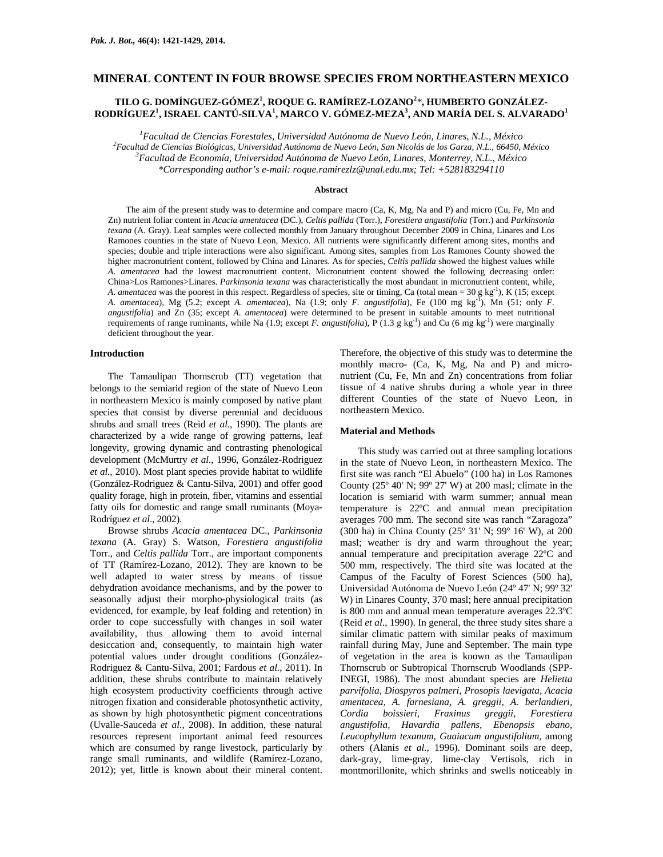## **MINERAL CONTENT IN FOUR BROWSE SPECIES FROM NORTHEASTERN MEXICO**

# **TILO G. DOMÍNGUEZ-GÓMEZ1 , ROQUE G. RAMÍREZ-LOZANO<sup>2</sup>** *\****, HUMBERTO GONZÁLEZ-RODRÍGUEZ1 , ISRAEL CANTÚ-SILVA1 , MARCO V. GÓMEZ-MEZA3 , AND MARÍA DEL S. ALVARADO<sup>1</sup>**

<sup>1</sup> Facultad de Ciencias Forestales, Universidad Autónoma de Nuevo León, Linares, N.L., México <sup>2</sup><br><sup>2</sup> Facultad de Ciencias Piclógiass, Universidad Autónoma de Nuevo León, San Nicolás de los Carra, N.L., 66450, 1 *Facultad de Ciencias Biológicas, Universidad Autónoma de Nuevo León, San Nicolás de los Garza, N.L., 66450, México 3 Facultad de Economía, Universidad Autónoma de Nuevo León, Linares, Monterrey, N.L., México* 

*\*Corresponding author's e-mail: roque.ramirezlz@unal.edu.mx; Tel: +528183294110* 

## **Abstract**

The aim of the present study was to determine and compare macro (Ca, K, Mg, Na and P) and micro (Cu, Fe, Mn and Zn) nutrient foliar content in *Acacia amentacea* (DC.), *Celtis pallida* (Torr.), *Forestiera angustifolia* (Torr*.*) and *Parkinsonia texana* (A. Gray). Leaf samples were collected monthly from January throughout December 2009 in China, Linares and Los Ramones counties in the state of Nuevo Leon, Mexico. All nutrients were significantly different among sites, months and species; double and triple interactions were also significant. Among sites, samples from Los Ramones County showed the higher macronutrient content, followed by China and Linares. As for species, *Celtis pallida* showed the highest values while *A. amentacea* had the lowest macronutrient content. Micronutrient content showed the following decreasing order: China>Los Ramones>Linares. *Parkinsonia texana* was characteristically the most abundant in micronutrient content, while, *A. amentacea* was the poorest in this respect. Regardless of species, site or timing, Ca (total mean =  $30 \text{ g kg}^{-1}$ ), K (15; except *A. amentacea*), Mg (5.2; except *A. amentacea*), Na (1.9; only *F. angustifolia*), Fe (100 mg kg-1), Mn (51; only *F. angustifolia*) and Zn (35; except *A. amentacea*) were determined to be present in suitable amounts to meet nutritional requirements of range ruminants, while Na (1.9; except *F. angustifolia*), P (1.3 g kg<sup>-1</sup>) and Cu (6 mg kg<sup>-1</sup>) were marginally deficient throughout the year.

### **Introduction**

The Tamaulipan Thornscrub (TT) vegetation that belongs to the semiarid region of the state of Nuevo Leon in northeastern Mexico is mainly composed by native plant species that consist by diverse perennial and deciduous shrubs and small trees (Reid *et al*., 1990). The plants are characterized by a wide range of growing patterns, leaf longevity, growing dynamic and contrasting phenological development (McMurtry *et al*., 1996, González-Rodriguez *et al.,* 2010). Most plant species provide habitat to wildlife (González-Rodriguez & Cantu-Silva, 2001) and offer good quality forage, high in protein, fiber, vitamins and essential fatty oils for domestic and range small ruminants (Moya-Rodríguez *et al*., 2002).

Browse shrubs *Acacia amentacea* DC.*, Parkinsonia texana* (A. Gray) S. Watson*, Forestiera angustifolia*  Torr., and *Celtis pallida* Torr., are important components of TT (Ramírez-Lozano, 2012). They are known to be well adapted to water stress by means of tissue dehydration avoidance mechanisms, and by the power to seasonally adjust their morpho-physiological traits (as evidenced, for example, by leaf folding and retention) in order to cope successfully with changes in soil water availability, thus allowing them to avoid internal desiccation and, consequently, to maintain high water potential values under drought conditions (González-Rodriguez & Cantu-Silva, 2001; Fardous *et al.,* 2011). In addition, these shrubs contribute to maintain relatively high ecosystem productivity coefficients through active nitrogen fixation and considerable photosynthetic activity, as shown by high photosynthetic pigment concentrations (Uvalle-Sauceda *et al*., 2008). In addition, these natural resources represent important animal feed resources which are consumed by range livestock, particularly by range small ruminants, and wildlife (Ramírez-Lozano, 2012); yet, little is known about their mineral content.

Therefore, the objective of this study was to determine the monthly macro- (Ca, K, Mg, Na and P) and micronutrient (Cu, Fe, Mn and Zn) concentrations from foliar tissue of 4 native shrubs during a whole year in three different Counties of the state of Nuevo Leon, in northeastern Mexico.

#### **Material and Methods**

This study was carried out at three sampling locations in the state of Nuevo Leon, in northeastern Mexico. The first site was ranch "El Abuelo" (100 ha) in Los Ramones County (25º 40' N; 99º 27' W) at 200 masl; climate in the location is semiarid with warm summer; annual mean temperature is 22ºC and annual mean precipitation averages 700 mm. The second site was ranch "Zaragoza" (300 ha) in China County (25º 31' N; 99º 16' W), at 200 masl; weather is dry and warm throughout the year; annual temperature and precipitation average 22ºC and 500 mm, respectively. The third site was located at the Campus of the Faculty of Forest Sciences (500 ha), Universidad Autónoma de Nuevo León (24º 47' N; 99º 32' W) in Linares County, 370 masl; here annual precipitation is 800 mm and annual mean temperature averages 22.3ºC (Reid *et al*., 1990). In general, the three study sites share a similar climatic pattern with similar peaks of maximum rainfall during May, June and September. The main type of vegetation in the area is known as the Tamaulipan Thornscrub or Subtropical Thornscrub Woodlands (SPP-INEGI, 1986). The most abundant species are *Helietta parvifolia, Diospyros palmeri, Prosopis laevigata, Acacia amentacea, A. farnesiana, A. greggii, A. berlandieri, Cordia boissieri, Fraxinus greggii, Forestiera angustifolia, Havardia pallens, Ebenopsis ebano, Leucophyllum texanum, Guaiacum angustifolium,* among others (Alanís *et al.*, 1996). Dominant soils are deep, dark-gray, lime-gray, lime-clay Vertisols, rich in montmorillonite, which shrinks and swells noticeably in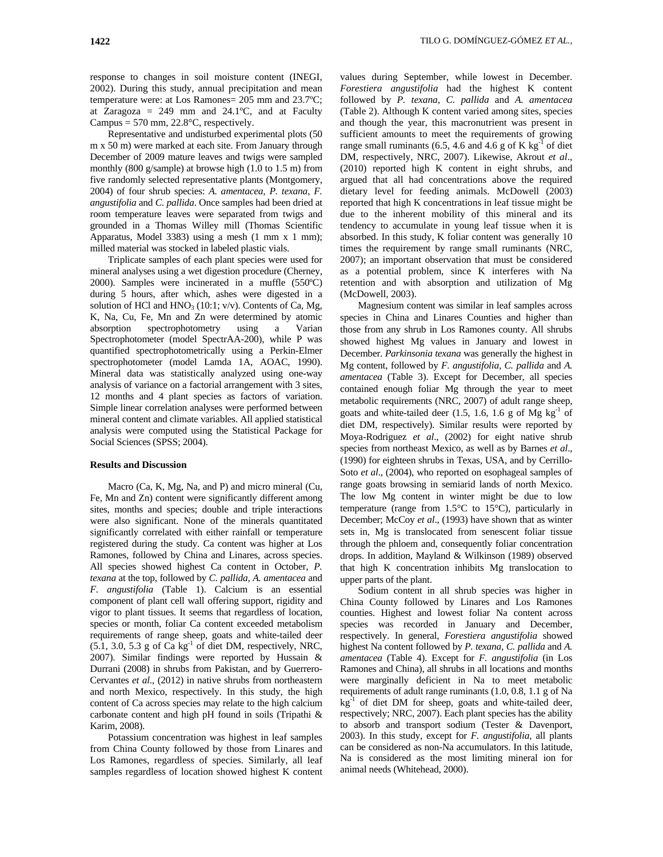response to changes in soil moisture content (INEGI, 2002). During this study, annual precipitation and mean temperature were: at Los Ramones= 205 mm and 23.7ºC; at Zaragoza =  $249$  mm and  $24.1$ °C, and at Faculty Campus =  $570$  mm,  $22.8$ °C, respectively.

Representative and undisturbed experimental plots (50 m x 50 m) were marked at each site. From January through December of 2009 mature leaves and twigs were sampled monthly (800 g/sample) at browse high (1.0 to 1.5 m) from five randomly selected representative plants (Montgomery, 2004) of four shrub species: *A. amentacea, P. texana*, *F. angustifolia* and *C. pallida*. Once samples had been dried at room temperature leaves were separated from twigs and grounded in a Thomas Willey mill (Thomas Scientific Apparatus, Model 3383) using a mesh (1 mm x 1 mm); milled material was stocked in labeled plastic vials.

Triplicate samples of each plant species were used for mineral analyses using a wet digestion procedure (Cherney, 2000). Samples were incinerated in a muffle (550ºC) during 5 hours, after which, ashes were digested in a solution of HCl and  $HNO<sub>3</sub>$  (10:1; v/v). Contents of Ca, Mg, K, Na, Cu, Fe, Mn and Zn were determined by atomic absorption spectrophotometry using a Varian Spectrophotometer (model SpectrAA-200), while P was quantified spectrophotometrically using a Perkin-Elmer spectrophotometer (model Lamda 1A, AOAC, 1990). Mineral data was statistically analyzed using one-way analysis of variance on a factorial arrangement with 3 sites, 12 months and 4 plant species as factors of variation. Simple linear correlation analyses were performed between mineral content and climate variables. All applied statistical analysis were computed using the Statistical Package for Social Sciences (SPSS; 2004).

## **Results and Discussion**

Macro (Ca, K, Mg, Na, and P) and micro mineral (Cu, Fe, Mn and Zn) content were significantly different among sites, months and species; double and triple interactions were also significant. None of the minerals quantitated significantly correlated with either rainfall or temperature registered during the study. Ca content was higher at Los Ramones, followed by China and Linares, across species. All species showed highest Ca content in October, *P. texana* at the top, followed by *C. pallida, A. amentacea* and *F. angustifolia* (Table 1). Calcium is an essential component of plant cell wall offering support, rigidity and vigor to plant tissues. It seems that regardless of location, species or month, foliar Ca content exceeded metabolism requirements of range sheep, goats and white-tailed deer  $(5.1, 3.0, 5.3 \text{ g of Ca kg}^{-1} \text{ of diet DM, respectively, NRC,}$ 2007). Similar findings were reported by Hussain & Durrani (2008) in shrubs from Pakistan, and by Guerrero-Cervantes *et al*., (2012) in native shrubs from northeastern and north Mexico, respectively. In this study, the high content of Ca across species may relate to the high calcium carbonate content and high pH found in soils (Tripathi & Karim, 2008).

Potassium concentration was highest in leaf samples from China County followed by those from Linares and Los Ramones, regardless of species. Similarly, all leaf samples regardless of location showed highest K content

values during September, while lowest in December. *Forestiera angustifolia* had the highest K content followed by *P. texana, C. pallida* and *A. amentacea*  (Table 2). Although K content varied among sites, species and though the year, this macronutrient was present in sufficient amounts to meet the requirements of growing range small ruminants (6.5, 4.6 and 4.6 g of K  $kg^{-1}$  of diet DM, respectively, NRC, 2007). Likewise, Akrout *et al*., (2010) reported high K content in eight shrubs, and argued that all had concentrations above the required dietary level for feeding animals. McDowell (2003) reported that high K concentrations in leaf tissue might be due to the inherent mobility of this mineral and its tendency to accumulate in young leaf tissue when it is absorbed. In this study, K foliar content was generally 10 times the requirement by range small ruminants (NRC, 2007); an important observation that must be considered as a potential problem, since K interferes with Na retention and with absorption and utilization of Mg (McDowell, 2003).

Magnesium content was similar in leaf samples across species in China and Linares Counties and higher than those from any shrub in Los Ramones county. All shrubs showed highest Mg values in January and lowest in December. *Parkinsonia texana* was generally the highest in Mg content, followed by *F. angustifolia, C. pallida* and *A. amentacea* (Table 3). Except for December, all species contained enough foliar Mg through the year to meet metabolic requirements (NRC, 2007) of adult range sheep, goats and white-tailed deer  $(1.5, 1.6, 1.6, g$  of Mg kg<sup>-1</sup> of diet DM, respectively). Similar results were reported by Moya-Rodriguez *et al*., (2002) for eight native shrub species from northeast Mexico, as well as by Barnes *et al*., (1990) for eighteen shrubs in Texas, USA, and by Cerrillo-Soto *et al*., (2004), who reported on esophageal samples of range goats browsing in semiarid lands of north Mexico. The low Mg content in winter might be due to low temperature (range from 1.5°C to 15°C), particularly in December; McCoy *et al*., (1993) have shown that as winter sets in, Mg is translocated from senescent foliar tissue through the phloem and, consequently foliar concentration drops. In addition, Mayland & Wilkinson (1989) observed that high K concentration inhibits Mg translocation to upper parts of the plant.

Sodium content in all shrub species was higher in China County followed by Linares and Los Ramones counties. Highest and lowest foliar Na content across species was recorded in January and December, respectively. In general, *Forestiera angustifolia* showed highest Na content followed by *P. texana, C. pallida* and *A. amentacea* (Table 4). Except for *F. angustifolia* (in Los Ramones and China), all shrubs in all locations and months were marginally deficient in Na to meet metabolic requirements of adult range ruminants (1.0, 0.8, 1.1 g of Na  $kg<sup>-1</sup>$  of diet DM for sheep, goats and white-tailed deer, respectively; NRC, 2007). Each plant species has the ability to absorb and transport sodium (Tester & Davenport, 2003). In this study, except for *F. angustifolia,* all plants can be considered as non-Na accumulators. In this latitude, Na is considered as the most limiting mineral ion for animal needs (Whitehead, 2000).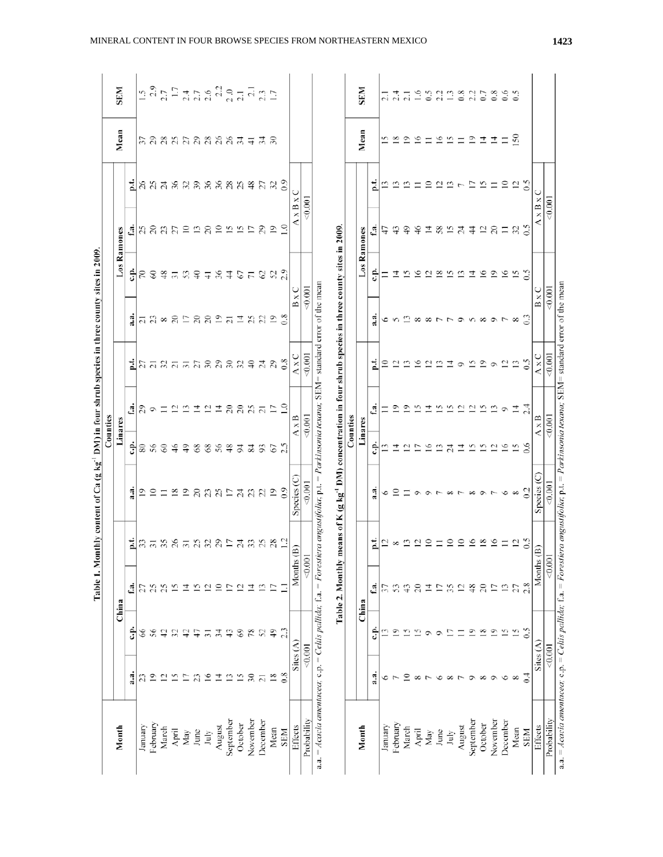| $3\sqrt{2}$<br>بن<br>$\%$<br>న న<br>28<br>$\frac{8}{3}$<br>ند<br>ف<br>$\overline{10}$<br>ನೆ ಸ<br>23<br>27<br>⋍<br>51<br>7<br>$\%$<br>≘<br>U<br>xBx<br><0.001<br>$A \times B \times$<br>0.001<br>₹<br>$\approx$<br>29<br>$32^{0.5}$<br>f.a.<br><b>3 ລິສ ຊິລິລິລິ</b><br>$\tilde{=}$<br>means of K (g kg <sup>-1</sup> DM) concentration in four shrub species in three county sites in 2009.<br>f.a.<br>55<br>$\overline{L}$<br>$\overline{0}$<br>58<br>24<br>₽<br>≆<br>그<br>$^{12}_{20}$<br>$\equiv$<br>Los Ramones<br>Los Ramones<br>47<br>⇔<br>$\pm$<br>÷<br>غ<br>ت<br>23<br>$\frac{8}{3}$<br>S<br>56<br>67<br>$^{\circ}$<br>$\circ$<br>$\tilde{=}$<br>5<br>R<br>3<br>$\epsilon$<br>\$<br>G)<br>$\overline{\mathcal{C}}$<br>$\sqrt{2}$<br>≌<br>$\overline{5}$<br>$\overline{r}$<br>≖<br>₹<br>a.a. = Acacia amentacea; c.p. = Celtis pallida; f.a. = Forestiera angustifolia; p.t. = Parkinsonia texana; SEM= standard error of the mean<br>< 0.001<br>$B \times C$<br>$B \times C$<br>0.001<br>$\ddot{a}$<br>88<br>$\overline{19}$<br>$\tilde{c}$<br>$\ddot{\mathbf{a}}$<br>$\overline{a}$ $\overline{a}$ $\infty$<br>$\approx$<br>L<br>콬<br>$\mathfrak{L}$<br>22<br>$\overline{5}$<br>$\overline{c}$<br>٥<br>${}^{\circ}$<br>0.001<br>AxC<br>$A \times C$<br>$-0.001$<br>$_{0.8}$<br>$\mathfrak{S}$<br>27<br>30 ន<br>$\approx$<br>$\frac{1}{2}$<br>$\overline{c}$<br>7<br>G<br>i<br>$\mathfrak{L}$<br>S)<br>Ë<br>≘<br>$\overline{9}$<br>$\mathfrak{L}$<br>$\overline{\mathbf{5}}$<br>≌<br>21<br>$\overline{c}$<br>$\overline{a}$<br>$\circ$<br>਼<br>ු<br>$\overline{c}$<br>$\overline{c}$<br>$\mathfrak{L}$<br>₫<br>$\mathfrak{g}$<br>±<br>$\overline{a}$<br>그<br>$\overline{c}$<br>L<br>P<br>4<br>츠<br>G<br>Counties<br>Counties<br>0.001<br>A x B<br>$A \times B$<br>0.001<br>Linares<br>Linares<br>÷<br>Ŝ<br>8.6<br>80<br>56<br>68<br>56<br>≌<br>$\overline{16}$<br>51<br>$\mathcal{S}$<br>$\frac{6}{5}$<br>ą,<br>$^{8}$<br>$\frac{8}{3}$<br>54<br>$\overline{84}$<br>93<br>57<br>$\tilde{c}$<br>↴<br>≌<br>24<br>₫<br>G<br>Species (C)<br>$S$ pecies $(C)$<br>$-0.001$<br>$-0.001$<br>a.<br>$\overline{0}$<br>$\mathfrak{S}$<br>$\overline{9}$<br>$\overline{c}$<br>23<br>$\mathfrak{L}$<br>$\overline{0}$<br>$\overline{\mathbf{8}}$<br>S<br>$\overline{0}$<br>a.a<br>≘<br>17<br>$\frac{4}{23}$<br>$\circ$<br>6<br>$\infty$<br>$\infty$<br>$\circ$<br>$\circ$<br>$\infty$<br>$\overline{ }$<br>573<br>i.<br>$\subseteq$<br>$\circ$<br>$\ddot{\circ}$<br>ī.<br>នគនន<br>$\overline{a}$ $\overline{a}$ $\overline{a}$ $\overline{a}$<br>$\mathfrak{L}% _{0}^{\alpha}(\mathbb{R}^{2n})$<br>28<br>$\overline{c}$<br>≘<br>$\circ$<br>$\approx$<br>$\circ$<br>≌<br>$\mathfrak{a}$<br>J<br>Ξ<br>${}^{\circ}$<br>$\widehat{\mathbf{B}}$<br>$\widehat{\mathbf{B}}$<br>Months<br><0.00<br>Months<br><0.00<br>Table 2. Monthly<br>2.8<br>්<br>25<br>25<br>Ċ.<br>$\frac{8}{3}$<br>$\approx$<br>Ľ<br>ᅺ<br>G<br>$\overline{c}$<br>≘<br>Ē<br>$\overline{c}$<br>Ξ<br>≌<br>57<br>S<br>$\boldsymbol{\varphi}$<br>$\overline{c}$<br>$\overline{1}$<br>L1<br>35<br>$\overline{c}$<br>Ξ<br>13<br>27<br>27<br>Ξ<br>China<br>China<br>ċ.<br>2.3<br>Ë<br>$\frac{49}{5}$<br>$\frac{5}{2}$<br>$\mathcal{S}$<br>78<br>$\overline{15}$<br>66<br>56<br>$\overline{34}$<br>$\frac{3}{4}$<br>25<br>$\circ$<br>$\circ$<br>$\overline{8}$<br>$\overline{0}$<br>15<br>$\frac{4}{2}$<br>32<br>유<br>$\overline{31}$<br>Š.<br>Ŝ<br>47<br>Φ<br>Φ<br>Sites $(A)$<br>Sites $(A)$<br>0.001<br>0.001<br>a.a<br>$_{0.8}$<br>$\vec{0}$<br>$\tilde{\varepsilon}$<br>$\overline{18}$<br>a.a<br>23<br>$\overline{0}$<br>$\overline{c}$<br>S<br>$\overline{16}$<br>$\overline{1}$<br>13<br>$\overline{15}$<br>$\supseteq$<br>$\overline{1}$<br>Ω<br>$\overline{c}$<br>٥<br>∞<br>${}^{\circ}$<br>о<br>о<br>∘<br>œ<br>November<br>Probability<br>November<br>Probability<br>September<br>December<br>September<br>December<br>October<br>February<br>October<br>February<br>August<br>Month<br>August<br>January<br>January<br>Effects<br>Month<br>Effects<br>March<br>March<br>Mean<br>Mean<br>April<br>SEM<br><b>SEM</b><br>June<br>April<br>June<br>$\ensuremath{\text{May}}$<br>May<br>July<br>July |  |  | Table 1. Monthly content of Ca (g kg <sup>-1</sup> DM) in four shrub species in three county sites in 2009. |  |  |  |                                |                                                                                                                                                                                                                                                                                                                        |
|-------------------------------------------------------------------------------------------------------------------------------------------------------------------------------------------------------------------------------------------------------------------------------------------------------------------------------------------------------------------------------------------------------------------------------------------------------------------------------------------------------------------------------------------------------------------------------------------------------------------------------------------------------------------------------------------------------------------------------------------------------------------------------------------------------------------------------------------------------------------------------------------------------------------------------------------------------------------------------------------------------------------------------------------------------------------------------------------------------------------------------------------------------------------------------------------------------------------------------------------------------------------------------------------------------------------------------------------------------------------------------------------------------------------------------------------------------------------------------------------------------------------------------------------------------------------------------------------------------------------------------------------------------------------------------------------------------------------------------------------------------------------------------------------------------------------------------------------------------------------------------------------------------------------------------------------------------------------------------------------------------------------------------------------------------------------------------------------------------------------------------------------------------------------------------------------------------------------------------------------------------------------------------------------------------------------------------------------------------------------------------------------------------------------------------------------------------------------------------------------------------------------------------------------------------------------------------------------------------------------------------------------------------------------------------------------------------------------------------------------------------------------------------------------------------------------------------------------------------------------------------------------------------------------------------------------------------------------------------------------------------------------------------------------------------------------------------------------------------------------------------------------------------------------------------------------------------------------------------------------------------------------------------------------------------------------------------------------------------------------------------------------------------------------------------------------------------------------------------------------------------------------------------------------------------------------------------------------------------------------------------------------------------------------------------------------------------------------------------------------------------------------------------------------------------------------------------------------------------------------------------------------------------------------------------------------------------------------------------------------------------------------------------------------------------------------------------------------------------------------------------------------------------------|--|--|-------------------------------------------------------------------------------------------------------------|--|--|--|--------------------------------|------------------------------------------------------------------------------------------------------------------------------------------------------------------------------------------------------------------------------------------------------------------------------------------------------------------------|
|                                                                                                                                                                                                                                                                                                                                                                                                                                                                                                                                                                                                                                                                                                                                                                                                                                                                                                                                                                                                                                                                                                                                                                                                                                                                                                                                                                                                                                                                                                                                                                                                                                                                                                                                                                                                                                                                                                                                                                                                                                                                                                                                                                                                                                                                                                                                                                                                                                                                                                                                                                                                                                                                                                                                                                                                                                                                                                                                                                                                                                                                                                                                                                                                                                                                                                                                                                                                                                                                                                                                                                                                                                                                                                                                                                                                                                                                                                                                                                                                                                                                                                                                                             |  |  |                                                                                                             |  |  |  |                                |                                                                                                                                                                                                                                                                                                                        |
|                                                                                                                                                                                                                                                                                                                                                                                                                                                                                                                                                                                                                                                                                                                                                                                                                                                                                                                                                                                                                                                                                                                                                                                                                                                                                                                                                                                                                                                                                                                                                                                                                                                                                                                                                                                                                                                                                                                                                                                                                                                                                                                                                                                                                                                                                                                                                                                                                                                                                                                                                                                                                                                                                                                                                                                                                                                                                                                                                                                                                                                                                                                                                                                                                                                                                                                                                                                                                                                                                                                                                                                                                                                                                                                                                                                                                                                                                                                                                                                                                                                                                                                                                             |  |  |                                                                                                             |  |  |  | Mean                           | <b>SEM</b>                                                                                                                                                                                                                                                                                                             |
|                                                                                                                                                                                                                                                                                                                                                                                                                                                                                                                                                                                                                                                                                                                                                                                                                                                                                                                                                                                                                                                                                                                                                                                                                                                                                                                                                                                                                                                                                                                                                                                                                                                                                                                                                                                                                                                                                                                                                                                                                                                                                                                                                                                                                                                                                                                                                                                                                                                                                                                                                                                                                                                                                                                                                                                                                                                                                                                                                                                                                                                                                                                                                                                                                                                                                                                                                                                                                                                                                                                                                                                                                                                                                                                                                                                                                                                                                                                                                                                                                                                                                                                                                             |  |  |                                                                                                             |  |  |  |                                |                                                                                                                                                                                                                                                                                                                        |
|                                                                                                                                                                                                                                                                                                                                                                                                                                                                                                                                                                                                                                                                                                                                                                                                                                                                                                                                                                                                                                                                                                                                                                                                                                                                                                                                                                                                                                                                                                                                                                                                                                                                                                                                                                                                                                                                                                                                                                                                                                                                                                                                                                                                                                                                                                                                                                                                                                                                                                                                                                                                                                                                                                                                                                                                                                                                                                                                                                                                                                                                                                                                                                                                                                                                                                                                                                                                                                                                                                                                                                                                                                                                                                                                                                                                                                                                                                                                                                                                                                                                                                                                                             |  |  |                                                                                                             |  |  |  |                                | $\tilde{=}$                                                                                                                                                                                                                                                                                                            |
|                                                                                                                                                                                                                                                                                                                                                                                                                                                                                                                                                                                                                                                                                                                                                                                                                                                                                                                                                                                                                                                                                                                                                                                                                                                                                                                                                                                                                                                                                                                                                                                                                                                                                                                                                                                                                                                                                                                                                                                                                                                                                                                                                                                                                                                                                                                                                                                                                                                                                                                                                                                                                                                                                                                                                                                                                                                                                                                                                                                                                                                                                                                                                                                                                                                                                                                                                                                                                                                                                                                                                                                                                                                                                                                                                                                                                                                                                                                                                                                                                                                                                                                                                             |  |  |                                                                                                             |  |  |  |                                |                                                                                                                                                                                                                                                                                                                        |
|                                                                                                                                                                                                                                                                                                                                                                                                                                                                                                                                                                                                                                                                                                                                                                                                                                                                                                                                                                                                                                                                                                                                                                                                                                                                                                                                                                                                                                                                                                                                                                                                                                                                                                                                                                                                                                                                                                                                                                                                                                                                                                                                                                                                                                                                                                                                                                                                                                                                                                                                                                                                                                                                                                                                                                                                                                                                                                                                                                                                                                                                                                                                                                                                                                                                                                                                                                                                                                                                                                                                                                                                                                                                                                                                                                                                                                                                                                                                                                                                                                                                                                                                                             |  |  |                                                                                                             |  |  |  |                                |                                                                                                                                                                                                                                                                                                                        |
|                                                                                                                                                                                                                                                                                                                                                                                                                                                                                                                                                                                                                                                                                                                                                                                                                                                                                                                                                                                                                                                                                                                                                                                                                                                                                                                                                                                                                                                                                                                                                                                                                                                                                                                                                                                                                                                                                                                                                                                                                                                                                                                                                                                                                                                                                                                                                                                                                                                                                                                                                                                                                                                                                                                                                                                                                                                                                                                                                                                                                                                                                                                                                                                                                                                                                                                                                                                                                                                                                                                                                                                                                                                                                                                                                                                                                                                                                                                                                                                                                                                                                                                                                             |  |  |                                                                                                             |  |  |  |                                |                                                                                                                                                                                                                                                                                                                        |
|                                                                                                                                                                                                                                                                                                                                                                                                                                                                                                                                                                                                                                                                                                                                                                                                                                                                                                                                                                                                                                                                                                                                                                                                                                                                                                                                                                                                                                                                                                                                                                                                                                                                                                                                                                                                                                                                                                                                                                                                                                                                                                                                                                                                                                                                                                                                                                                                                                                                                                                                                                                                                                                                                                                                                                                                                                                                                                                                                                                                                                                                                                                                                                                                                                                                                                                                                                                                                                                                                                                                                                                                                                                                                                                                                                                                                                                                                                                                                                                                                                                                                                                                                             |  |  |                                                                                                             |  |  |  |                                |                                                                                                                                                                                                                                                                                                                        |
|                                                                                                                                                                                                                                                                                                                                                                                                                                                                                                                                                                                                                                                                                                                                                                                                                                                                                                                                                                                                                                                                                                                                                                                                                                                                                                                                                                                                                                                                                                                                                                                                                                                                                                                                                                                                                                                                                                                                                                                                                                                                                                                                                                                                                                                                                                                                                                                                                                                                                                                                                                                                                                                                                                                                                                                                                                                                                                                                                                                                                                                                                                                                                                                                                                                                                                                                                                                                                                                                                                                                                                                                                                                                                                                                                                                                                                                                                                                                                                                                                                                                                                                                                             |  |  |                                                                                                             |  |  |  |                                |                                                                                                                                                                                                                                                                                                                        |
|                                                                                                                                                                                                                                                                                                                                                                                                                                                                                                                                                                                                                                                                                                                                                                                                                                                                                                                                                                                                                                                                                                                                                                                                                                                                                                                                                                                                                                                                                                                                                                                                                                                                                                                                                                                                                                                                                                                                                                                                                                                                                                                                                                                                                                                                                                                                                                                                                                                                                                                                                                                                                                                                                                                                                                                                                                                                                                                                                                                                                                                                                                                                                                                                                                                                                                                                                                                                                                                                                                                                                                                                                                                                                                                                                                                                                                                                                                                                                                                                                                                                                                                                                             |  |  |                                                                                                             |  |  |  | <u>និ</u> ក្តី ដឹងនាំ និង ទី ។ | $\begin{array}{l} 23 \\ 25 \\ 7 \end{array} \begin{array}{l} 17 \\ 17 \end{array} \begin{array}{l} 17 \\ 21 \end{array} \begin{array}{l} 17 \\ 21 \end{array} \begin{array}{l} 17 \\ 21 \end{array} \begin{array}{l} 17 \\ 21 \end{array} \begin{array}{l} 17 \\ 21 \end{array} \begin{array}{l} 17 \\ 21 \end{array}$ |
|                                                                                                                                                                                                                                                                                                                                                                                                                                                                                                                                                                                                                                                                                                                                                                                                                                                                                                                                                                                                                                                                                                                                                                                                                                                                                                                                                                                                                                                                                                                                                                                                                                                                                                                                                                                                                                                                                                                                                                                                                                                                                                                                                                                                                                                                                                                                                                                                                                                                                                                                                                                                                                                                                                                                                                                                                                                                                                                                                                                                                                                                                                                                                                                                                                                                                                                                                                                                                                                                                                                                                                                                                                                                                                                                                                                                                                                                                                                                                                                                                                                                                                                                                             |  |  |                                                                                                             |  |  |  |                                |                                                                                                                                                                                                                                                                                                                        |
|                                                                                                                                                                                                                                                                                                                                                                                                                                                                                                                                                                                                                                                                                                                                                                                                                                                                                                                                                                                                                                                                                                                                                                                                                                                                                                                                                                                                                                                                                                                                                                                                                                                                                                                                                                                                                                                                                                                                                                                                                                                                                                                                                                                                                                                                                                                                                                                                                                                                                                                                                                                                                                                                                                                                                                                                                                                                                                                                                                                                                                                                                                                                                                                                                                                                                                                                                                                                                                                                                                                                                                                                                                                                                                                                                                                                                                                                                                                                                                                                                                                                                                                                                             |  |  |                                                                                                             |  |  |  |                                |                                                                                                                                                                                                                                                                                                                        |
|                                                                                                                                                                                                                                                                                                                                                                                                                                                                                                                                                                                                                                                                                                                                                                                                                                                                                                                                                                                                                                                                                                                                                                                                                                                                                                                                                                                                                                                                                                                                                                                                                                                                                                                                                                                                                                                                                                                                                                                                                                                                                                                                                                                                                                                                                                                                                                                                                                                                                                                                                                                                                                                                                                                                                                                                                                                                                                                                                                                                                                                                                                                                                                                                                                                                                                                                                                                                                                                                                                                                                                                                                                                                                                                                                                                                                                                                                                                                                                                                                                                                                                                                                             |  |  |                                                                                                             |  |  |  |                                |                                                                                                                                                                                                                                                                                                                        |
|                                                                                                                                                                                                                                                                                                                                                                                                                                                                                                                                                                                                                                                                                                                                                                                                                                                                                                                                                                                                                                                                                                                                                                                                                                                                                                                                                                                                                                                                                                                                                                                                                                                                                                                                                                                                                                                                                                                                                                                                                                                                                                                                                                                                                                                                                                                                                                                                                                                                                                                                                                                                                                                                                                                                                                                                                                                                                                                                                                                                                                                                                                                                                                                                                                                                                                                                                                                                                                                                                                                                                                                                                                                                                                                                                                                                                                                                                                                                                                                                                                                                                                                                                             |  |  |                                                                                                             |  |  |  |                                |                                                                                                                                                                                                                                                                                                                        |
|                                                                                                                                                                                                                                                                                                                                                                                                                                                                                                                                                                                                                                                                                                                                                                                                                                                                                                                                                                                                                                                                                                                                                                                                                                                                                                                                                                                                                                                                                                                                                                                                                                                                                                                                                                                                                                                                                                                                                                                                                                                                                                                                                                                                                                                                                                                                                                                                                                                                                                                                                                                                                                                                                                                                                                                                                                                                                                                                                                                                                                                                                                                                                                                                                                                                                                                                                                                                                                                                                                                                                                                                                                                                                                                                                                                                                                                                                                                                                                                                                                                                                                                                                             |  |  |                                                                                                             |  |  |  | र्दे                           |                                                                                                                                                                                                                                                                                                                        |
|                                                                                                                                                                                                                                                                                                                                                                                                                                                                                                                                                                                                                                                                                                                                                                                                                                                                                                                                                                                                                                                                                                                                                                                                                                                                                                                                                                                                                                                                                                                                                                                                                                                                                                                                                                                                                                                                                                                                                                                                                                                                                                                                                                                                                                                                                                                                                                                                                                                                                                                                                                                                                                                                                                                                                                                                                                                                                                                                                                                                                                                                                                                                                                                                                                                                                                                                                                                                                                                                                                                                                                                                                                                                                                                                                                                                                                                                                                                                                                                                                                                                                                                                                             |  |  |                                                                                                             |  |  |  | నె                             |                                                                                                                                                                                                                                                                                                                        |
|                                                                                                                                                                                                                                                                                                                                                                                                                                                                                                                                                                                                                                                                                                                                                                                                                                                                                                                                                                                                                                                                                                                                                                                                                                                                                                                                                                                                                                                                                                                                                                                                                                                                                                                                                                                                                                                                                                                                                                                                                                                                                                                                                                                                                                                                                                                                                                                                                                                                                                                                                                                                                                                                                                                                                                                                                                                                                                                                                                                                                                                                                                                                                                                                                                                                                                                                                                                                                                                                                                                                                                                                                                                                                                                                                                                                                                                                                                                                                                                                                                                                                                                                                             |  |  |                                                                                                             |  |  |  |                                |                                                                                                                                                                                                                                                                                                                        |
|                                                                                                                                                                                                                                                                                                                                                                                                                                                                                                                                                                                                                                                                                                                                                                                                                                                                                                                                                                                                                                                                                                                                                                                                                                                                                                                                                                                                                                                                                                                                                                                                                                                                                                                                                                                                                                                                                                                                                                                                                                                                                                                                                                                                                                                                                                                                                                                                                                                                                                                                                                                                                                                                                                                                                                                                                                                                                                                                                                                                                                                                                                                                                                                                                                                                                                                                                                                                                                                                                                                                                                                                                                                                                                                                                                                                                                                                                                                                                                                                                                                                                                                                                             |  |  |                                                                                                             |  |  |  |                                |                                                                                                                                                                                                                                                                                                                        |
|                                                                                                                                                                                                                                                                                                                                                                                                                                                                                                                                                                                                                                                                                                                                                                                                                                                                                                                                                                                                                                                                                                                                                                                                                                                                                                                                                                                                                                                                                                                                                                                                                                                                                                                                                                                                                                                                                                                                                                                                                                                                                                                                                                                                                                                                                                                                                                                                                                                                                                                                                                                                                                                                                                                                                                                                                                                                                                                                                                                                                                                                                                                                                                                                                                                                                                                                                                                                                                                                                                                                                                                                                                                                                                                                                                                                                                                                                                                                                                                                                                                                                                                                                             |  |  |                                                                                                             |  |  |  |                                |                                                                                                                                                                                                                                                                                                                        |
|                                                                                                                                                                                                                                                                                                                                                                                                                                                                                                                                                                                                                                                                                                                                                                                                                                                                                                                                                                                                                                                                                                                                                                                                                                                                                                                                                                                                                                                                                                                                                                                                                                                                                                                                                                                                                                                                                                                                                                                                                                                                                                                                                                                                                                                                                                                                                                                                                                                                                                                                                                                                                                                                                                                                                                                                                                                                                                                                                                                                                                                                                                                                                                                                                                                                                                                                                                                                                                                                                                                                                                                                                                                                                                                                                                                                                                                                                                                                                                                                                                                                                                                                                             |  |  |                                                                                                             |  |  |  |                                |                                                                                                                                                                                                                                                                                                                        |
|                                                                                                                                                                                                                                                                                                                                                                                                                                                                                                                                                                                                                                                                                                                                                                                                                                                                                                                                                                                                                                                                                                                                                                                                                                                                                                                                                                                                                                                                                                                                                                                                                                                                                                                                                                                                                                                                                                                                                                                                                                                                                                                                                                                                                                                                                                                                                                                                                                                                                                                                                                                                                                                                                                                                                                                                                                                                                                                                                                                                                                                                                                                                                                                                                                                                                                                                                                                                                                                                                                                                                                                                                                                                                                                                                                                                                                                                                                                                                                                                                                                                                                                                                             |  |  |                                                                                                             |  |  |  | Mean                           | <b>NI3S</b>                                                                                                                                                                                                                                                                                                            |
|                                                                                                                                                                                                                                                                                                                                                                                                                                                                                                                                                                                                                                                                                                                                                                                                                                                                                                                                                                                                                                                                                                                                                                                                                                                                                                                                                                                                                                                                                                                                                                                                                                                                                                                                                                                                                                                                                                                                                                                                                                                                                                                                                                                                                                                                                                                                                                                                                                                                                                                                                                                                                                                                                                                                                                                                                                                                                                                                                                                                                                                                                                                                                                                                                                                                                                                                                                                                                                                                                                                                                                                                                                                                                                                                                                                                                                                                                                                                                                                                                                                                                                                                                             |  |  |                                                                                                             |  |  |  |                                |                                                                                                                                                                                                                                                                                                                        |
|                                                                                                                                                                                                                                                                                                                                                                                                                                                                                                                                                                                                                                                                                                                                                                                                                                                                                                                                                                                                                                                                                                                                                                                                                                                                                                                                                                                                                                                                                                                                                                                                                                                                                                                                                                                                                                                                                                                                                                                                                                                                                                                                                                                                                                                                                                                                                                                                                                                                                                                                                                                                                                                                                                                                                                                                                                                                                                                                                                                                                                                                                                                                                                                                                                                                                                                                                                                                                                                                                                                                                                                                                                                                                                                                                                                                                                                                                                                                                                                                                                                                                                                                                             |  |  |                                                                                                             |  |  |  |                                | 12                                                                                                                                                                                                                                                                                                                     |
|                                                                                                                                                                                                                                                                                                                                                                                                                                                                                                                                                                                                                                                                                                                                                                                                                                                                                                                                                                                                                                                                                                                                                                                                                                                                                                                                                                                                                                                                                                                                                                                                                                                                                                                                                                                                                                                                                                                                                                                                                                                                                                                                                                                                                                                                                                                                                                                                                                                                                                                                                                                                                                                                                                                                                                                                                                                                                                                                                                                                                                                                                                                                                                                                                                                                                                                                                                                                                                                                                                                                                                                                                                                                                                                                                                                                                                                                                                                                                                                                                                                                                                                                                             |  |  |                                                                                                             |  |  |  | ≌ פֿ                           | $\frac{4}{2}$                                                                                                                                                                                                                                                                                                          |
|                                                                                                                                                                                                                                                                                                                                                                                                                                                                                                                                                                                                                                                                                                                                                                                                                                                                                                                                                                                                                                                                                                                                                                                                                                                                                                                                                                                                                                                                                                                                                                                                                                                                                                                                                                                                                                                                                                                                                                                                                                                                                                                                                                                                                                                                                                                                                                                                                                                                                                                                                                                                                                                                                                                                                                                                                                                                                                                                                                                                                                                                                                                                                                                                                                                                                                                                                                                                                                                                                                                                                                                                                                                                                                                                                                                                                                                                                                                                                                                                                                                                                                                                                             |  |  |                                                                                                             |  |  |  | $\circ$                        | $\overline{c}$                                                                                                                                                                                                                                                                                                         |
|                                                                                                                                                                                                                                                                                                                                                                                                                                                                                                                                                                                                                                                                                                                                                                                                                                                                                                                                                                                                                                                                                                                                                                                                                                                                                                                                                                                                                                                                                                                                                                                                                                                                                                                                                                                                                                                                                                                                                                                                                                                                                                                                                                                                                                                                                                                                                                                                                                                                                                                                                                                                                                                                                                                                                                                                                                                                                                                                                                                                                                                                                                                                                                                                                                                                                                                                                                                                                                                                                                                                                                                                                                                                                                                                                                                                                                                                                                                                                                                                                                                                                                                                                             |  |  |                                                                                                             |  |  |  | $\circ$                        |                                                                                                                                                                                                                                                                                                                        |
|                                                                                                                                                                                                                                                                                                                                                                                                                                                                                                                                                                                                                                                                                                                                                                                                                                                                                                                                                                                                                                                                                                                                                                                                                                                                                                                                                                                                                                                                                                                                                                                                                                                                                                                                                                                                                                                                                                                                                                                                                                                                                                                                                                                                                                                                                                                                                                                                                                                                                                                                                                                                                                                                                                                                                                                                                                                                                                                                                                                                                                                                                                                                                                                                                                                                                                                                                                                                                                                                                                                                                                                                                                                                                                                                                                                                                                                                                                                                                                                                                                                                                                                                                             |  |  |                                                                                                             |  |  |  | Ξ                              | $\mathbb{S}$                                                                                                                                                                                                                                                                                                           |
|                                                                                                                                                                                                                                                                                                                                                                                                                                                                                                                                                                                                                                                                                                                                                                                                                                                                                                                                                                                                                                                                                                                                                                                                                                                                                                                                                                                                                                                                                                                                                                                                                                                                                                                                                                                                                                                                                                                                                                                                                                                                                                                                                                                                                                                                                                                                                                                                                                                                                                                                                                                                                                                                                                                                                                                                                                                                                                                                                                                                                                                                                                                                                                                                                                                                                                                                                                                                                                                                                                                                                                                                                                                                                                                                                                                                                                                                                                                                                                                                                                                                                                                                                             |  |  |                                                                                                             |  |  |  | $\overline{6}$                 | 22                                                                                                                                                                                                                                                                                                                     |
|                                                                                                                                                                                                                                                                                                                                                                                                                                                                                                                                                                                                                                                                                                                                                                                                                                                                                                                                                                                                                                                                                                                                                                                                                                                                                                                                                                                                                                                                                                                                                                                                                                                                                                                                                                                                                                                                                                                                                                                                                                                                                                                                                                                                                                                                                                                                                                                                                                                                                                                                                                                                                                                                                                                                                                                                                                                                                                                                                                                                                                                                                                                                                                                                                                                                                                                                                                                                                                                                                                                                                                                                                                                                                                                                                                                                                                                                                                                                                                                                                                                                                                                                                             |  |  |                                                                                                             |  |  |  | ≌                              | $\mathbf{r}$                                                                                                                                                                                                                                                                                                           |
|                                                                                                                                                                                                                                                                                                                                                                                                                                                                                                                                                                                                                                                                                                                                                                                                                                                                                                                                                                                                                                                                                                                                                                                                                                                                                                                                                                                                                                                                                                                                                                                                                                                                                                                                                                                                                                                                                                                                                                                                                                                                                                                                                                                                                                                                                                                                                                                                                                                                                                                                                                                                                                                                                                                                                                                                                                                                                                                                                                                                                                                                                                                                                                                                                                                                                                                                                                                                                                                                                                                                                                                                                                                                                                                                                                                                                                                                                                                                                                                                                                                                                                                                                             |  |  |                                                                                                             |  |  |  | $\equiv$                       | $_{0.8}$                                                                                                                                                                                                                                                                                                               |
|                                                                                                                                                                                                                                                                                                                                                                                                                                                                                                                                                                                                                                                                                                                                                                                                                                                                                                                                                                                                                                                                                                                                                                                                                                                                                                                                                                                                                                                                                                                                                                                                                                                                                                                                                                                                                                                                                                                                                                                                                                                                                                                                                                                                                                                                                                                                                                                                                                                                                                                                                                                                                                                                                                                                                                                                                                                                                                                                                                                                                                                                                                                                                                                                                                                                                                                                                                                                                                                                                                                                                                                                                                                                                                                                                                                                                                                                                                                                                                                                                                                                                                                                                             |  |  |                                                                                                             |  |  |  | $\overline{0}$                 | 2.2                                                                                                                                                                                                                                                                                                                    |
|                                                                                                                                                                                                                                                                                                                                                                                                                                                                                                                                                                                                                                                                                                                                                                                                                                                                                                                                                                                                                                                                                                                                                                                                                                                                                                                                                                                                                                                                                                                                                                                                                                                                                                                                                                                                                                                                                                                                                                                                                                                                                                                                                                                                                                                                                                                                                                                                                                                                                                                                                                                                                                                                                                                                                                                                                                                                                                                                                                                                                                                                                                                                                                                                                                                                                                                                                                                                                                                                                                                                                                                                                                                                                                                                                                                                                                                                                                                                                                                                                                                                                                                                                             |  |  |                                                                                                             |  |  |  | 그                              | $\overline{C}$                                                                                                                                                                                                                                                                                                         |
|                                                                                                                                                                                                                                                                                                                                                                                                                                                                                                                                                                                                                                                                                                                                                                                                                                                                                                                                                                                                                                                                                                                                                                                                                                                                                                                                                                                                                                                                                                                                                                                                                                                                                                                                                                                                                                                                                                                                                                                                                                                                                                                                                                                                                                                                                                                                                                                                                                                                                                                                                                                                                                                                                                                                                                                                                                                                                                                                                                                                                                                                                                                                                                                                                                                                                                                                                                                                                                                                                                                                                                                                                                                                                                                                                                                                                                                                                                                                                                                                                                                                                                                                                             |  |  |                                                                                                             |  |  |  | ュ                              | 0.8                                                                                                                                                                                                                                                                                                                    |
|                                                                                                                                                                                                                                                                                                                                                                                                                                                                                                                                                                                                                                                                                                                                                                                                                                                                                                                                                                                                                                                                                                                                                                                                                                                                                                                                                                                                                                                                                                                                                                                                                                                                                                                                                                                                                                                                                                                                                                                                                                                                                                                                                                                                                                                                                                                                                                                                                                                                                                                                                                                                                                                                                                                                                                                                                                                                                                                                                                                                                                                                                                                                                                                                                                                                                                                                                                                                                                                                                                                                                                                                                                                                                                                                                                                                                                                                                                                                                                                                                                                                                                                                                             |  |  |                                                                                                             |  |  |  | $\equiv$                       | 6.6                                                                                                                                                                                                                                                                                                                    |
|                                                                                                                                                                                                                                                                                                                                                                                                                                                                                                                                                                                                                                                                                                                                                                                                                                                                                                                                                                                                                                                                                                                                                                                                                                                                                                                                                                                                                                                                                                                                                                                                                                                                                                                                                                                                                                                                                                                                                                                                                                                                                                                                                                                                                                                                                                                                                                                                                                                                                                                                                                                                                                                                                                                                                                                                                                                                                                                                                                                                                                                                                                                                                                                                                                                                                                                                                                                                                                                                                                                                                                                                                                                                                                                                                                                                                                                                                                                                                                                                                                                                                                                                                             |  |  |                                                                                                             |  |  |  | $\frac{50}{2}$                 |                                                                                                                                                                                                                                                                                                                        |
|                                                                                                                                                                                                                                                                                                                                                                                                                                                                                                                                                                                                                                                                                                                                                                                                                                                                                                                                                                                                                                                                                                                                                                                                                                                                                                                                                                                                                                                                                                                                                                                                                                                                                                                                                                                                                                                                                                                                                                                                                                                                                                                                                                                                                                                                                                                                                                                                                                                                                                                                                                                                                                                                                                                                                                                                                                                                                                                                                                                                                                                                                                                                                                                                                                                                                                                                                                                                                                                                                                                                                                                                                                                                                                                                                                                                                                                                                                                                                                                                                                                                                                                                                             |  |  |                                                                                                             |  |  |  |                                |                                                                                                                                                                                                                                                                                                                        |
|                                                                                                                                                                                                                                                                                                                                                                                                                                                                                                                                                                                                                                                                                                                                                                                                                                                                                                                                                                                                                                                                                                                                                                                                                                                                                                                                                                                                                                                                                                                                                                                                                                                                                                                                                                                                                                                                                                                                                                                                                                                                                                                                                                                                                                                                                                                                                                                                                                                                                                                                                                                                                                                                                                                                                                                                                                                                                                                                                                                                                                                                                                                                                                                                                                                                                                                                                                                                                                                                                                                                                                                                                                                                                                                                                                                                                                                                                                                                                                                                                                                                                                                                                             |  |  |                                                                                                             |  |  |  |                                |                                                                                                                                                                                                                                                                                                                        |
|                                                                                                                                                                                                                                                                                                                                                                                                                                                                                                                                                                                                                                                                                                                                                                                                                                                                                                                                                                                                                                                                                                                                                                                                                                                                                                                                                                                                                                                                                                                                                                                                                                                                                                                                                                                                                                                                                                                                                                                                                                                                                                                                                                                                                                                                                                                                                                                                                                                                                                                                                                                                                                                                                                                                                                                                                                                                                                                                                                                                                                                                                                                                                                                                                                                                                                                                                                                                                                                                                                                                                                                                                                                                                                                                                                                                                                                                                                                                                                                                                                                                                                                                                             |  |  |                                                                                                             |  |  |  |                                |                                                                                                                                                                                                                                                                                                                        |
| a.a. = Acacia amentacea; c.p. = Celtis pallida; f.a. = Forestiera angustifolia; p.t. = Parkinsonia texana; SEM= standard error of the mean                                                                                                                                                                                                                                                                                                                                                                                                                                                                                                                                                                                                                                                                                                                                                                                                                                                                                                                                                                                                                                                                                                                                                                                                                                                                                                                                                                                                                                                                                                                                                                                                                                                                                                                                                                                                                                                                                                                                                                                                                                                                                                                                                                                                                                                                                                                                                                                                                                                                                                                                                                                                                                                                                                                                                                                                                                                                                                                                                                                                                                                                                                                                                                                                                                                                                                                                                                                                                                                                                                                                                                                                                                                                                                                                                                                                                                                                                                                                                                                                                  |  |  |                                                                                                             |  |  |  |                                |                                                                                                                                                                                                                                                                                                                        |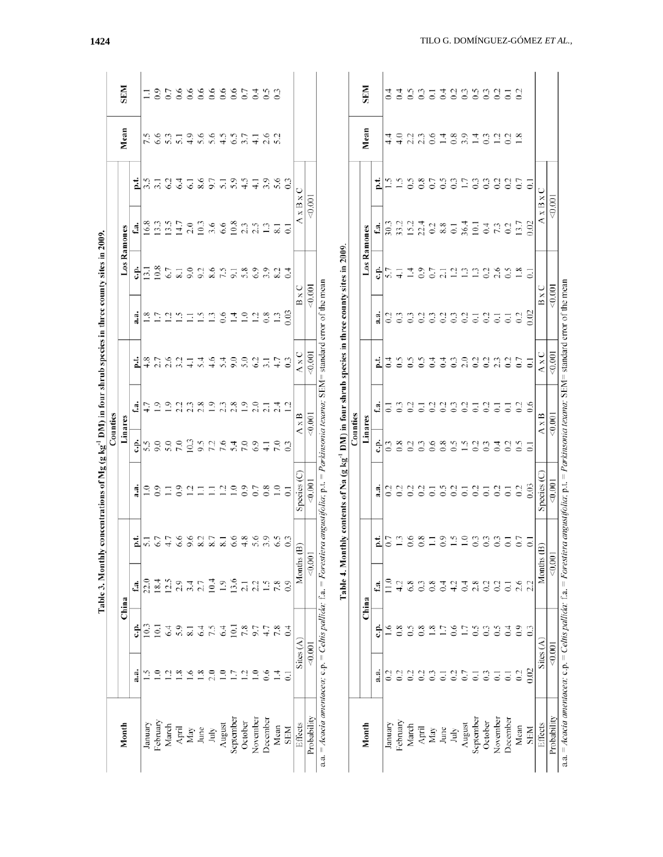|                                                                                                                                            |                  |                 | Table 3. Monthly |               | concentrations of Mg (g kg <sup>-1</sup> DM) in four shrub species in three county sites in 2009.            |                  |                  |                   |                  |                           |                      |                  |                 |                |
|--------------------------------------------------------------------------------------------------------------------------------------------|------------------|-----------------|------------------|---------------|--------------------------------------------------------------------------------------------------------------|------------------|------------------|-------------------|------------------|---------------------------|----------------------|------------------|-----------------|----------------|
| Month                                                                                                                                      |                  |                 |                  |               |                                                                                                              | Counties         |                  |                   |                  |                           |                      |                  |                 | <b>SEM</b>     |
|                                                                                                                                            | ુવ               | ÷               | f.a.<br>China    | p.t.          | $\ddot{a}$                                                                                                   | Linares<br>ċ.    | d                | Ŀ.                | $\ddot{a}$       | ċ.                        | d<br>Los Ramones     | i                | Mean            |                |
| January                                                                                                                                    | r.               | 10.3            | 22.0             | 51            | $\overline{1.0}$                                                                                             | 5.5              |                  | 4.8               | $\frac{8}{1}$    | $\overline{3}$ .          | 16.8                 | 35               | 7.5             | Ξ              |
| February                                                                                                                                   | $\supseteq$      | $\overline{5}$  | 18.4             | 6.7           | $_{0.9}$                                                                                                     | 9.0              | $\overline{0}$   |                   | $\overline{17}$  | $_{0.8}$                  | $\overline{33}$      | $\overline{31}$  | 6.6             | $_{0.9}$       |
| March                                                                                                                                      | J.               | 6.4             | 12.5             | 17            | Ξ                                                                                                            | 5.0              | $\overline{0}$   | 2.7<br>2.6<br>3.2 | $\Xi$            | 67                        | 13.5                 | 62               | 53              | $\overline{C}$ |
| April                                                                                                                                      | œ.               | 5.9             | 2.9              | 6.6           | $_{0.9}$                                                                                                     | 7.0              | L,               |                   | $\tilde{=}$      | $\overline{\mathbf{8}}$ . | 14.7                 | 6.4              | $\overline{51}$ | 6.6            |
| May                                                                                                                                        | $\overline{1.6}$ | 8.1             | 3.4              | 9.6           | $\bar{5}$                                                                                                    | 10.3             | 2.3              | $\overline{+}$    | Ξ                | 9.0                       | 2.0                  | $\overline{61}$  | 4.9             | 6.6            |
| June                                                                                                                                       | $\ddot{s}$       | 6.4             | 2.7              | 8.2           | Ξ                                                                                                            | 9.5              | 2.8              | 5.4               | $\ddot{ }$       | 9.2                       | 10.3                 | 8.6              | 5.6             | $_{0.6}$       |
| July                                                                                                                                       | 2.0              | 7.5             | 10.4             | 8.7           | Ξ                                                                                                            | 7.2              | $\overline{1.9}$ | 4.6               | $\mathbf{r}$     |                           | 3.6                  | 9.7              | 5.6             | 0.6            |
| August                                                                                                                                     | $\overline{1.0}$ | 6.4             | 1.9              | 8.1           | $\overline{12}$                                                                                              | 7.6              | 2.3              | 5.4               | 0.6              | 8.5                       | 6.6                  | $\overline{51}$  | 4.5             | 6.6            |
| September                                                                                                                                  | 1.7              | 10.1            | 13.6             | 6.6           | $\frac{6}{11}$                                                                                               | 5.4              | 2.8              | 9.0               | $\vec{=}$        | $\overline{5}$            | 10.8                 | 5.9              | $\mathcal{L}$   | 0.6            |
| October                                                                                                                                    | $\overline{12}$  | 7.8             | $\overline{21}$  | $\frac{8}{4}$ | $_{0.9}$                                                                                                     | 7.0              | $\overline{1.9}$ | 5.0               | $\tilde{=}$      | 5.8                       | 2.3                  | $\frac{5}{4}$    | 3.7             | $C_{0}$        |
| November                                                                                                                                   | $\Xi$            | 9.7             | 2.2              | 5.6           | 0.7                                                                                                          | 6.9              | 2.0              | $\mathcal{C}$     | $\overline{5}$   | 6.9                       | 2.5                  | $\overline{4}$   | $\overline{41}$ | 3.5            |
| December                                                                                                                                   | 0.6              | 4.7             | $\tilde{=}$      | 3.9           | $\frac{8}{3}$                                                                                                | $\overline{41}$  | $\overline{c}$   | $\overline{3}$ .  | 0.8              | 3.9                       | $\mathbf{r}$         | 3.9              | 2.6             |                |
| Mean                                                                                                                                       | $\vec{=}$        | 7.8             | 7.8              | $\mathcal{S}$ | $\overline{1.0}$                                                                                             | $\overline{7.0}$ | 2.4              | 47                |                  | 8.2                       | $\overline{\infty}$  | 5.6              | 52              | $\mathbb{S}$   |
| <b>NHS</b>                                                                                                                                 | Ξ                | 0.4             | 0.9              | $\mathbb{S}$  | $\overline{c}$                                                                                               |                  | $\overline{1}$   | $\mathbb{C}$      | $\frac{3}{2}$    | $\overline{0}$            |                      | $\frac{3}{2}$    |                 |                |
| Effects                                                                                                                                    |                  | Sites $(A)$     |                  | Months (B)    | Species(C)                                                                                                   |                  | $A \times B$     | $A \times C$      | BxC              |                           | A x B x              | C                |                 |                |
| Probability                                                                                                                                | < 0.001          |                 |                  | < 0.001       | 50.001                                                                                                       |                  | 50,001           | 0.001             | 0.001            |                           | < 0.001              |                  |                 |                |
| a.a. = Acacia amentacea; c.p. = Celtis pallida; f.a. = Forestiera angustifolia; p.t. = Parkinsonia texana; SEM= standard error of the mean |                  |                 |                  |               | Table 4. Monthly contents of Na (g kg <sup>-1</sup> DM) in four shrub species in three county sites in 2009. |                  |                  |                   |                  |                           |                      |                  |                 |                |
|                                                                                                                                            |                  |                 |                  |               |                                                                                                              | Counties         |                  |                   |                  |                           |                      |                  |                 |                |
| Month                                                                                                                                      |                  |                 | China            |               |                                                                                                              | Linares          |                  |                   |                  |                           | Los Ramones          |                  | Mean            | <b>NI3S</b>    |
|                                                                                                                                            | તું.<br>ત        | ÷               | f.a.             | p.t.          | a.a                                                                                                          | Ė                | d                | i                 | $\ddot{a}$       | ċ.                        | f.a.                 | i                |                 |                |
| January                                                                                                                                    | 0.2              | $\frac{6}{1}$   | $\frac{0}{11}$   | 0.7           |                                                                                                              |                  | $\overline{z}$   | $\ddot{0}$ .4     | $\frac{2}{3}$    | 5.7                       | 30.3                 | <u>ن</u>         | $\frac{4}{4}$   | $\ddot{0.4}$   |
| February                                                                                                                                   | $\overline{0.2}$ | 0.8             | 4.2              | $\mathbf{r}$  | $\overline{0}$                                                                                               | $\frac{8}{2}$    | $\mathfrak{S}$   | $\mathfrak{S}$    | $\overline{0}$   | $\overline{+}$            | 33.2                 | $\tilde{c}$      | $\frac{6}{4}$   | $\ddot{c}$     |
| March                                                                                                                                      | 0.2              | $\tilde{c}$     | 6.8              | 6.6           | 0.2                                                                                                          | $\mathfrak{S}$   | $\overline{0}$   | $\tilde{c}$       | $\mathbb{S}$     | $\vec{a}$                 | 15.2                 | $\tilde{c}$      | 22              | $\Im$          |
| April                                                                                                                                      | $\overline{0.2}$ | 0.8             | $\mathfrak{S}$   | $\frac{8}{2}$ | 0.2                                                                                                          | $\mathfrak{S}$   | $\overline{c}$   | $\mathfrak{S}$    | $\overline{0}$   | $_{0.9}$                  | 22.4                 | 0.8              | 2.3             | $\Im$          |
| $\ensuremath{\mathsf{May}\,}\xspace$                                                                                                       | $\mathbf{C}$     | $\frac{8}{18}$  | 0.8              | Ξ             | $\overline{c}$                                                                                               | 0.6              | $\mathfrak{S}$   | 0.4               | $\degree$        | 0.7                       | 0.2                  | $\overline{0.7}$ | 0.6             | $\overline{c}$ |
| June                                                                                                                                       | $\overline{c}$   | $\overline{17}$ | $\sigma$         | $\ddot{0}$ :  | $\Im$                                                                                                        | $\frac{8}{2}$    | $\mathfrak{S}$   | $\ddot{0.4}$      | $\overline{0}$   | 2.1                       | 8.8                  | $\Im$            | $\vec{=}$       |                |
| July                                                                                                                                       | $\approx$        | 0.6             | 4.2              | 15            | $\overline{0}$                                                                                               | $\tilde{c}$      | $\mathbb{C}^3$   | $\mathfrak{S}$    | $\mathbb{S}$     | $\frac{1}{2}$             | $\overline{\circ}$   | $\mathbb{S}$     | 0.8             | 333            |
| August                                                                                                                                     | 0.7              | 1.7             | $\overline{0}$ . | $\tilde{=}$   | $\overline{5}$                                                                                               | $\tilde{c}$      | $\approx$        | 2.0               | $\frac{2}{2}$    |                           | 36.4                 | 1.7              |                 |                |
| September                                                                                                                                  | $\overline{c}$   | $\mathfrak{S}$  | 2.8              | $\mathbb{S}$  | $\overline{0.2}$                                                                                             | $\mathfrak{S}$   | $\overline{c}$   | $\mathfrak{S}$    | $\overline{5}$   | $\Xi$                     | 10.1                 | $\Im$            | $\overline{1}$  | $\Im$          |
| October                                                                                                                                    | $\mathbf{C}$     | $\mathbb{C}$    | 0.2              | $\mathbb{S}$  | $\overline{\circ}$                                                                                           | $\mathbb{S}$     | $\approx$        | $\overline{0}$    | $\overline{0}$   | $\overline{0}$            | $\ddot{\phantom{0}}$ | $\mathbb{S}$     | 0.3             | 33             |
| November                                                                                                                                   | $\overline{c}$   | $\tilde{c}$     | 0.2              | $\Im$         | $\frac{2}{3}$                                                                                                | $\mathbb{E}$     | $\overline{c}$   | 23                | $\overline{C}$   | 2.6                       | 73                   | $\mathfrak{S}$   | 1.2             |                |
| December                                                                                                                                   | $\overline{c}$   | 0.4             | $\Xi$            | 3             | $\overline{\circ}$                                                                                           | $\mathfrak{S}$   | $\overline{z}$   | 0.2               | $\overline{0}$ . | $\mathcal{S}$             | 0.2                  | $\overline{0}$   | $\overline{0}$  | $\overline{c}$ |
| Mean                                                                                                                                       | 0.2              | $_{0.9}$        | 2.6              | СO            | $\frac{2}{3}$                                                                                                | $\tilde{c}$      | $^{2}$           | $\overline{0.7}$  | $\frac{2}{3}$    | $\ddot{.}8$               | 13.7                 | $\overline{c}$   | 1.8             | $\approx$      |
| <b>NBS</b>                                                                                                                                 | $\frac{6}{2}$    | $\frac{3}{2}$   | 2.2              | ਤ             | 0.03                                                                                                         |                  | 0.6              | $\overline{0}$    | 0.02             | $\overline{0}$            | 0.02                 |                  |                 |                |
| Effects                                                                                                                                    | Sites $(A)$      |                 |                  | Months (B)    | Species (C)                                                                                                  |                  | $A \times B$     | $A \times C$      | BxC              |                           | $A \times B \times$  |                  |                 |                |
| Probability                                                                                                                                | < 0.001          |                 |                  | 0.001         | 50,001                                                                                                       |                  | < 0.001          | 0.001             | 0.001            |                           |                      | < 0.001          |                 |                |
| a.a. = Acacia amentacea; c.p. = Celtis pallida; f.a. = Forestiera angustifolia; p.t. = Parkinsonia texana; SEM= standard error of the mean |                  |                 |                  |               |                                                                                                              |                  |                  |                   |                  |                           |                      |                  |                 |                |

1424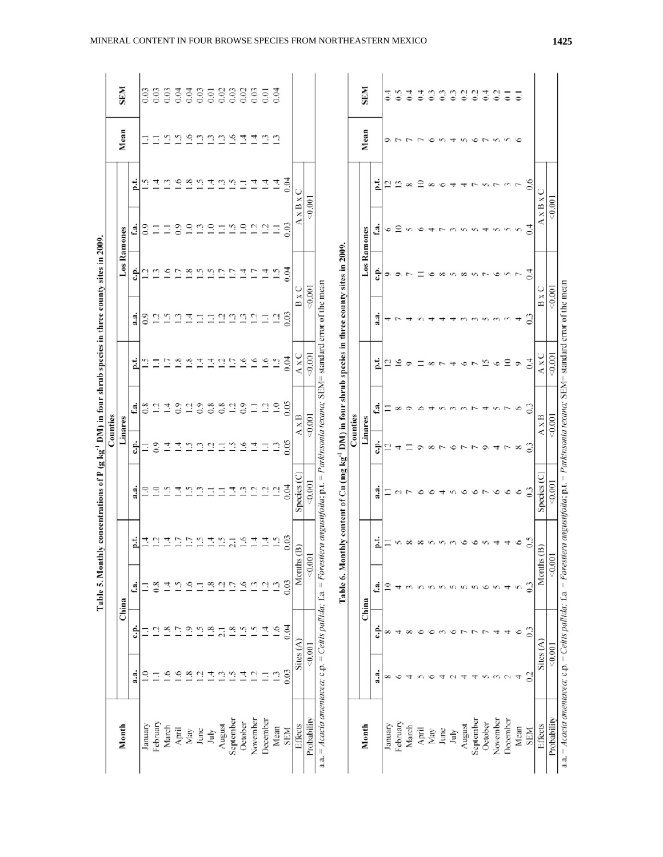| Month                     |                |                 | China              |                  |                                                                                                              | Linares         |                  |                    |                 |                      | Los Ramones                               |             | Mean         | <b>NI3S</b>        |
|---------------------------|----------------|-----------------|--------------------|------------------|--------------------------------------------------------------------------------------------------------------|-----------------|------------------|--------------------|-----------------|----------------------|-------------------------------------------|-------------|--------------|--------------------|
|                           | $\ddot{a}$ .   | ئة              | £.                 | i                | $\ddot{a}$ .                                                                                                 | ÷               | đ.               | i                  | $\ddot{a}$      | ÷ء                   | 1                                         | Ξ           |              |                    |
| January                   | $\tilde{=}$    |                 | Ξ                  | $\vec{=}$        | $\tilde{=}$                                                                                                  | Ξ               | $\frac{8}{1}$    |                    | $\frac{6}{2}$   | ų                    | $\ddot{0}$ :0                             |             | Ξ            | 0.03               |
| February                  | Ξ              | ų               | $\frac{8}{2}$      | $\overline{5}$   | $\supseteq$                                                                                                  | $\overline{0}$  | $\overline{5}$   |                    | Ξ,              | Ċ,                   | Ξ                                         | 7           | Ξ            | 0.03               |
| March                     | $\frac{6}{2}$  | œ               | ₫                  | $\frac{4}{1}$    | v                                                                                                            | $\vec{r}$       | $\vec{r}$        |                    | <u>ي</u>        | $\sim$               | Ξ                                         |             |              | 0.03               |
| April                     | $\tilde{.}$    |                 | ب.<br>آ            | Ξ                | 4                                                                                                            | 그               | $\overline{0}$   | œ.                 | ≌               | Ľ                    | $_{0.9}$                                  | 9.          | ي تن تن      | 0.04               |
| May                       | $\frac{8}{10}$ | Ο.              | $\tilde{\epsilon}$ | 1.7              | v                                                                                                            | $\tilde{\Xi}$   | $\overline{c}$   | ×.                 | $\overline{14}$ | 1.8                  |                                           | $\tilde{8}$ |              | 0.04               |
| June                      | $\overline{c}$ | v.              | Ξ                  | $\tilde{c}$      | ್                                                                                                            | ≌               | $\overline{0}$   | 4                  | Ξ               | r.                   | $\begin{array}{c} 2.7 \\ 2.7 \end{array}$ |             | $\mathbb{C}$ | 0.03               |
| July                      | $\vec{=}$      | $\infty$        | $\frac{8}{1.8}$    | $\vec{=}$        | Ξ                                                                                                            | $\overline{5}$  | $\frac{8}{2}$    | $\overline{A}$     | Ξ               | $\tilde{\mathbb{S}}$ |                                           | 그           | $\mathbb{C}$ | 0.01               |
| August                    | $\mathbf{r}$   | 21              | $\overline{5}$     | $\tilde{=}$      | Ξ                                                                                                            | Ξ               | 0.8              | ਼                  | $\overline{5}$  | 1.7                  | Ξ                                         |             | $\mathbb{C}$ | 0.02               |
| September                 | $\tilde{c}$    | œ.              | $\overline{1}$     | $\overline{2.1}$ | 큰                                                                                                            | $\tilde{c}$     | $\overline{5}$   | Ξ                  | $\mathbf{r}$    | 1.7                  | $\tilde{a}$                               | $\tilde{=}$ | $\sim$       | 0.03               |
| October                   | 큰              | U.              | ∘                  | 1.6              | <u>ි</u>                                                                                                     | $\frac{6}{1}$   | $\overline{0.9}$ | $\tilde{=}$        | $\mathbf{r}$    | $\vec{=}$            | $\tilde{=}$                               | Ξ           | 촌            | 0.02               |
| November                  | $\overline{c}$ | Ċ               | ن                  | $\overline{1}$   |                                                                                                              | 그               | Ξ                | $\tilde{\epsilon}$ | $\overline{5}$  | $\overline{1}$ .     | $\overline{5}$                            | 그           |              | 0.03               |
| December                  | Ξ              | 큰               | $\overline{5}$     | $\overline{1}$   | - 그 그                                                                                                        | Ξ               | $\overline{c}$   | $\frac{6}{2}$      | $\Xi$           | $\vec{=}$            | $\overline{12}$                           | $\vec{=}$   | 큰 음          | 0.01               |
| Mean                      | $\mathbf{r}$   | $\overline{16}$ | $\mathbf{r}$       | $\tilde{=}$      | $\overline{a}$                                                                                               | $\mathbb{C}$    | $\frac{0}{1}$    | $\tilde{c}$        | $\Xi$           |                      | Ξ                                         | Ξ           | $\mathbb{C}$ | 0.04               |
| SEM                       | 0.03           | 0.04            | 0.03               | 0.03             | 0.04                                                                                                         | $\frac{65}{20}$ | 0.05             | 0.04               | 0.03            | 0.04                 | 0.03                                      | 0.04        |              |                    |
| Effects                   |                | Sites $(A)$     |                    | Months (B)       | Species (C)                                                                                                  |                 | $A \times B$     | $A \times C$       |                 | $B \times C$         | $A \times B \times$                       | ◡           |              |                    |
| Probability               | 0.001          |                 |                    | 0.001            | 80.001                                                                                                       |                 | 0.001            | 0.001              |                 | 0.001                | 0.001                                     |             |              |                    |
|                           |                |                 |                    |                  | Table 6. Monthly content of Cu (mg kg <sup>-1</sup> DM) in four shrub species in three county sites in 2009. |                 |                  |                    |                 |                      |                                           |             |              |                    |
|                           |                |                 |                    |                  |                                                                                                              | Counties        |                  |                    |                 |                      |                                           |             |              |                    |
| Month                     |                |                 | China              |                  |                                                                                                              | Linares         |                  |                    |                 |                      | Los Ramones                               |             | Mean         | <b>NI3S</b>        |
|                           | નું            | ۋ               | t.a.               | p.t              | a.a                                                                                                          | Ê               | £a               | i                  | a.a             | خ.                   | đ.                                        | i           |              |                    |
| January                   | ∞              | ∞               | ≘                  |                  |                                                                                                              | $\bar{c}$       |                  |                    | 4               | σ                    | 6                                         | ₽           | ⇨            | $\ddot{0}.4$       |
| February                  | ے              |                 |                    | S                |                                                                                                              |                 |                  |                    |                 |                      | ≘                                         |             |              | $\Im$              |
| March                     |                |                 |                    | ∞                |                                                                                                              |                 |                  |                    |                 |                      |                                           | ∝           |              | $\ddot{\circ}$     |
| April                     |                |                 | $\sim$             |                  |                                                                                                              |                 |                  |                    |                 |                      |                                           | ≌           |              | $\overline{6}$     |
| $\ensuremath{\text{May}}$ | c              | ≌               | $\sigma$           |                  |                                                                                                              |                 |                  |                    |                 |                      |                                           | $\infty$    | ७            | $\mathbb{S}$       |
| June                      | ᆉ              |                 | $\sim$             |                  |                                                                                                              |                 |                  |                    |                 | ${}^{\circ}$         |                                           |             | $\sim$       | $\degree$          |
| July                      |                |                 |                    |                  |                                                                                                              |                 |                  |                    |                 | $\sim$               |                                           |             |              | $\mathfrak{S}$     |
| August                    | ᆉ              |                 | $\sqrt{2}$         |                  |                                                                                                              |                 |                  |                    |                 | ${}^{\circ}$         |                                           |             |              | $\overline{0}$     |
| September                 | ᆉ              |                 |                    |                  |                                                                                                              |                 |                  |                    |                 | $\sim$               |                                           |             | ৩            | $\approx$          |
| October                   | n              |                 | ৩                  | $\sim$           |                                                                                                              |                 |                  | 15                 |                 |                      |                                           |             |              | $\frac{4}{3}$      |
| November                  | ĉ              |                 |                    |                  |                                                                                                              |                 |                  | ∘                  |                 | ৩                    |                                           |             |              | $\approx$          |
| December                  |                | ᆉ               | 4                  | 4                | G                                                                                                            |                 |                  | $\approx$          |                 | $\sim$               |                                           |             |              | $\overline{\circ}$ |
| Mean                      |                | ७               | Ś                  | ٩                | G                                                                                                            |                 | ७                | ۰                  |                 |                      |                                           |             |              | ె                  |
| <b>NSES</b>               | $\frac{2}{2}$  | ි               | ි                  | G.               | $\frac{3}{2}$                                                                                                |                 |                  | $\overline{0.4}$   | ្ជ              | $\frac{4}{1}$        |                                           | $^{0.6}$    |              |                    |
|                           |                |                 |                    |                  |                                                                                                              |                 |                  |                    |                 | $B \times C$         |                                           |             |              |                    |
| Effects                   |                | Sites $(A)$     | Months             | ê                | Species (C)                                                                                                  |                 | $A \times B$     | $A \times C$       |                 |                      | $A \times B \times$                       |             |              |                    |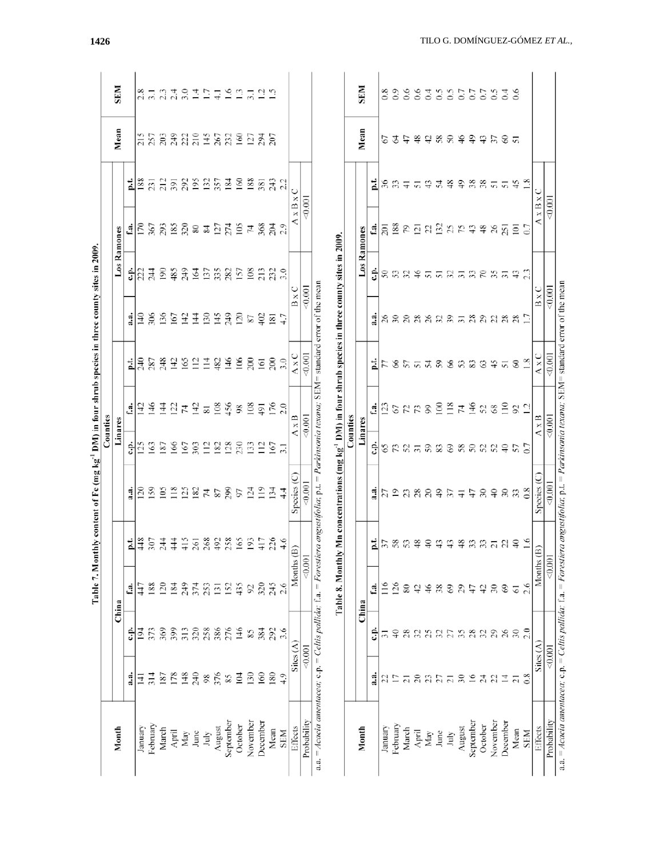|                                                                                                                                            |                 |                 |                  |                        | Table 7. Monthly content of Fe (mg kg <sup>-1</sup> DM) in four shrub species in three county sites in 2009. |                               |                   |                              |                  |                    |                        |                   |                   |                       |
|--------------------------------------------------------------------------------------------------------------------------------------------|-----------------|-----------------|------------------|------------------------|--------------------------------------------------------------------------------------------------------------|-------------------------------|-------------------|------------------------------|------------------|--------------------|------------------------|-------------------|-------------------|-----------------------|
|                                                                                                                                            |                 |                 |                  |                        |                                                                                                              | Counties                      |                   |                              |                  |                    |                        |                   |                   |                       |
| Month                                                                                                                                      |                 |                 | China            |                        |                                                                                                              | Linares                       |                   |                              |                  |                    | Los Ramones            |                   | Mean              | <b>SEM</b>            |
|                                                                                                                                            | a.a.            | خ.              | Ċ.               |                        | $\frac{a}{a}$                                                                                                | ς.                            | đ                 |                              | $\frac{a}{a}$    |                    | đ                      | p.t.              |                   |                       |
| January                                                                                                                                    | Ŧ               | 194             | 447              | 부흥                     |                                                                                                              | 125                           | $\vec{a}$         |                              | $\frac{1}{2}$    | $\frac{1}{2}$      | $\overline{170}$       | 188               | 215               |                       |
| February                                                                                                                                   | $\frac{314}{2}$ | 373             | 188              | 307                    |                                                                                                              | 163                           | $\frac{46}{5}$    |                              | 306              | $\overline{4}$     | 367                    | $\overline{231}$  | 257               | 2.5 2.3               |
| March                                                                                                                                      | 187             | 369             | $\overline{20}$  | $\frac{4}{3}$          |                                                                                                              | 187                           | $\overline{4}$    |                              | 136              | $\overline{6}$     | 293                    | 212               | 203               |                       |
| April                                                                                                                                      | 178             | 399             | 184              | $\frac{4}{4}$          | 389222787                                                                                                    | 166                           | $\overline{2}$    | <u> 법용 정 용 앞 영 일 별 용 육 열</u> | 167              | 485                | 185                    | 391               | 249               |                       |
| May                                                                                                                                        | 148             | 313             | 249              |                        |                                                                                                              | 167                           | 4                 |                              | 142              | 249                |                        |                   |                   |                       |
| June                                                                                                                                       | 240             | 320             | 374              | $\frac{415}{261}$      |                                                                                                              | 303                           |                   |                              | $\overline{14}$  |                    | ក្ក្លួន $\overline{x}$ | 82272             | 33.52838          |                       |
| July                                                                                                                                       | 98              | 258             | 253              | 268                    |                                                                                                              | $\overline{11}$               | $\frac{14}{81}$   |                              | 130              |                    |                        |                   |                   |                       |
| August                                                                                                                                     | 376             | 386             | $\overline{131}$ | 492                    |                                                                                                              | 182                           | 108               |                              | 145              | 55.88              |                        |                   |                   |                       |
| September                                                                                                                                  | $\frac{85}{2}$  | 276             | 152              | 258                    | 299                                                                                                          | 128                           | 456               |                              | 249              |                    |                        |                   |                   |                       |
| October                                                                                                                                    | 104             | 146             | 435              | 165                    | 97                                                                                                           | 230                           | 98                |                              | 120              | 157                | $\frac{27}{274}$       | 160               |                   |                       |
| November                                                                                                                                   | 130             | 85              | $\mathcal{S}^2$  | 193                    | 124                                                                                                          | 133                           | 108               | 200                          | 87               | 108                | 74                     | 188               | 127               |                       |
| December                                                                                                                                   | 160             | 384             | 320              | 417                    | $\frac{1}{2}$                                                                                                | $\Xi$                         | $\overline{5}$    | 161                          | 402              | 213                | 368                    | 381               |                   |                       |
| Mean                                                                                                                                       | 180             | 292             | 245              | 226                    | $\frac{34}{3}$                                                                                               | $\overline{5}$ $\overline{5}$ | $\frac{176}{2.0}$ | 200                          | $\overline{181}$ | 23.0               | $_{204}$               |                   | $\frac{294}{207}$ | はのはにはもにははに            |
| <b>NHS</b>                                                                                                                                 | $\frac{9}{4}$   | 3.6             | 2.6              | 4.6                    | $\frac{4}{4}$                                                                                                |                               |                   | 3.0                          |                  |                    |                        | 243<br>2.2        |                   |                       |
| Effects                                                                                                                                    |                 | Sites $(A)$     |                  | Months (B)             | Species (C)                                                                                                  |                               | $A \times B$      | AxC                          | B x              |                    | $\times B$             |                   |                   |                       |
| Probability                                                                                                                                |                 | < 0.001         |                  | 0.001                  | $-0.001$                                                                                                     |                               | 0.001             | $-0.001$                     |                  | 0.001              |                        | $\frac{0.001}{2}$ |                   |                       |
| a.a. = Acacia amentacea; c.p. = Celtis pallida; f.a. = Forestiera angustifolia; p.t. = Parkinsonia texana; SEM= standard error of the mean |                 |                 | Table 8. Monthly |                        | Mn concentrations (mg $kg^{-1}$ DM) in four shrub species in three county sites in 2009.                     | Counties                      |                   |                              |                  |                    |                        |                   |                   |                       |
| Month                                                                                                                                      |                 |                 | China            |                        |                                                                                                              | Linares                       |                   |                              |                  |                    | Los Ramones            |                   | Mean              | <b>SEM</b>            |
|                                                                                                                                            | a.<br>a         | ÷               | £.               |                        | $\ddot{a}$ .                                                                                                 | ÷                             | đ                 | 보                            | $\frac{a}{a}$    | ċ.p.               | £.                     | بنه               |                   |                       |
| January                                                                                                                                    | 22              | $\overline{51}$ | 116              | $\frac{1}{2}$ ភ្លៃ ភ្ល |                                                                                                              |                               | $\frac{23}{2}$    | $\frac{1}{2}$                |                  |                    | $\overline{201}$       |                   | 52                | 0.8                   |
| February                                                                                                                                   | L)              | $\widehat{+}$   | 126              |                        |                                                                                                              |                               |                   |                              |                  |                    | 188                    | న స               | F                 | $_{0.9}$              |
| March                                                                                                                                      | $\overline{c}$  | 28              | 80               |                        |                                                                                                              |                               |                   |                              |                  |                    | 79                     | $\overline{+}$    | t+                | 6.6                   |
| April                                                                                                                                      | $\overline{c}$  | $\mathfrak{L}$  | $\overline{r}$   | 48                     | hanggah =                                                                                                    | \$RRRRR88                     | <b>672</b><br>72  | 8577888                      | នននននននភ         | ននន¥               | $\overline{21}$        | $\overline{5}$    | $\frac{8}{3}$     | 0.6                   |
| May                                                                                                                                        | $\mathfrak{L}$  | 25              | 46               | $\overline{4}$         |                                                                                                              |                               | 99                |                              |                  |                    | $\mathfrak{L}$         | $\ddot{ }$        | đ,                | $\sigma$ <sup>4</sup> |
| June                                                                                                                                       | 27              | 32              | $\frac{8}{3}$    | $\frac{4}{3}$          |                                                                                                              |                               | $\geq$            |                              |                  |                    | $\frac{52}{52}$        | 54                |                   |                       |
| July                                                                                                                                       | $\overline{c}$  | 27              | $\Im$            | $\ddot{ }$             |                                                                                                              |                               | $\frac{8}{2}$     |                              |                  |                    |                        |                   | 884               |                       |
| August                                                                                                                                     | $\approx$       | 35              | 29               | $\frac{8}{3}$          |                                                                                                              | 58                            | 74                |                              |                  | <b>ធ</b> ធនាគនខន្ធ |                        | $\ddot{ }$        |                   | 3355533               |
| September                                                                                                                                  | $\tilde{=}$     | $^{28}$         | ÷                |                        | 47                                                                                                           |                               | 146               | <b>28</b>                    |                  |                    | $\boldsymbol{\hat{z}}$ |                   | $\frac{9}{4}$     |                       |
| October                                                                                                                                    | 24              | $\mathfrak{L}$  | 42               | ສ ສ ສ                  | $\frac{8}{4}$                                                                                                |                               | 52                |                              |                  |                    | $\frac{8}{3}$          |                   | 437               |                       |
| November                                                                                                                                   | 22              | 29              | $\mathfrak{D}$   |                        |                                                                                                              | នននទ                          |                   | $\div$                       | ននននន            |                    | 26                     | និនិតត            |                   |                       |
| December                                                                                                                                   | 그               | $\delta$        | 3                | S                      | $30\,$                                                                                                       |                               | $\approx$         | $\overline{5}$               |                  |                    | $\overline{25}$        |                   | $8\,5$            |                       |
| Mean                                                                                                                                       | $\overline{c}$  | $30\,$          | 51               | $\frac{1}{2}$          | 33 <sup>8</sup>                                                                                              | $57$ 0.7                      | 22                | $\otimes$                    |                  | 43                 | $\overline{5}$         | 45                |                   | 6.6                   |
| SEM                                                                                                                                        |                 | 2.0             | 2.6              | 1.6                    |                                                                                                              |                               |                   | $\frac{8}{1}$                |                  |                    |                        |                   |                   |                       |
| Effects                                                                                                                                    |                 | Sites $(A)$     |                  | Months (B              | Species (C                                                                                                   |                               | $A \times B$      | $\frac{1}{2}$                | B x              |                    | $x \, B$               |                   |                   |                       |
| Probability                                                                                                                                |                 | 50,001          |                  | 0.001                  | $-0.001$                                                                                                     |                               | 50,001            | $\otimes$ 001                | $\approx 0.001$  |                    |                        | 0.001             |                   |                       |
| a.a. = Acacia amentacea; c.p. = Celtis pallida; f.a. = Forestiera angustifolia; p.t. = Parkinsonia texana; SEM= standard error of the mean |                 |                 |                  |                        |                                                                                                              |                               |                   |                              |                  |                    |                        |                   |                   |                       |

1426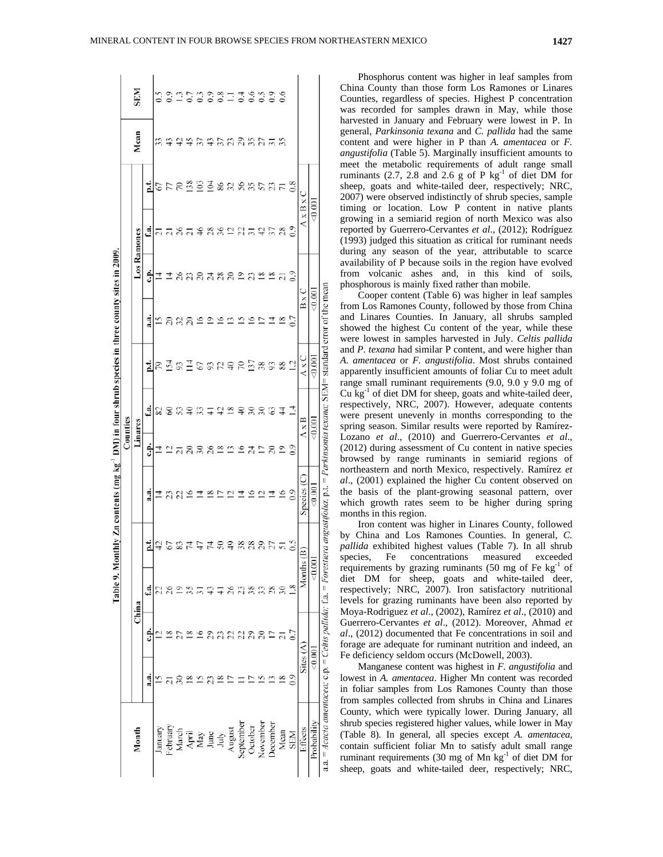**SEM**  $\tilde{\omega}$ 333119339 Mean  $\omega$   $\bar{\omega}$  $$595338555$  $558833885535$  $x \mathbf{B} x$  $\frac{300}{200}$  $7582$ ٦, Ramones Table 9. Monthly Zn contents (mg kg<sup>-1</sup> DM) in four shrub species in three county sites in 2009.  $\frac{80}{1}$ Ê <u> ಇನಿವಿ ಇವನ</u> 그 2 2 2 Forestiera angustifolia; p.t. = Parkinsonia texana; SEM= standard error of the mean  $_{(0.001)}$  $\frac{4}{2}$   $\frac{8}{2}$ 빏 ₽  $\approx$  $\tilde{\omega}$ 858 ₫  $22$  $347$ ₽ Counties Linares Ġ.  $2788$  $272822$  $-0.00$ species  $\frac{4}{5}$   $\frac{6}{5}$ នទុន្ទនុងក្នុង ž ここはき Months  $(B)$  $89.5$  $1a =$ ₫ 8382 China a.a. = Acacia amentacea; c.p. = Celtis pallida; Sites  $(A)$ g ē  $13.80$ S July<br>August<br>September<br>October<br>November Probability **Jecember** Month Mean Effects January<br>Pebruar<br>March<br>April  $\frac{\text{May}}{\text{June}}$ **NES** 

Phosphorus content was higher in leaf samples from China County than those form Los Ramones or Linares Counties, regardless of species. Highest P concentration was recorded for samples drawn in May, while those harvested in January and February were lowest in P. In general, *Parkinsonia texana* and *C. pallida* had the same content and were higher in P than *A. amentacea* or *F. angustifolia* (Table 5). Marginally insufficient amounts to meet the metabolic requirements of adult range small ruminants (2.7, 2.8 and 2.6 g of P  $kg^{-1}$  of diet DM for sheep, goats and white-tailed deer, respectively; NRC, 2007) were observed indistinctly of shrub species, sample timing or location. Low P content in native plants growing in a semiarid region of north Mexico was also reported by Guerrero-Cervantes *et al*., (2012); Rodríguez (1993) judged this situation as critical for ruminant needs during any season of the year, attributable to scarce availability of P because soils in the region have evolved from volcanic ashes and, in this kind of soils, phosphorous is mainly fixed rather than mobile.

Cooper content (Table 6) was higher in leaf samples from Los Ramones County, followed by those from China and Linares Counties. In January, all shrubs sampled showed the highest Cu content of the year, while these were lowest in samples harvested in July. *Celtis pallida*  and *P. texana* had similar P content, and were higher than *A. amentacea* or *F. angustifolia*. Most shrubs contained apparently insufficient amounts of foliar Cu to meet adult range small ruminant requirements (9.0, 9.0 y 9.0 mg of  $Cu$  kg $^{-1}$  of diet DM for sheep, goats and white-tailed deer, respectively, NRC, 2007). However, adequate contents were present unevenly in months corresponding to the spring season. Similar results were reported by Ramírez-Lozano *et al*., (2010) and Guerrero-Cervantes *et al*., (2012) during assessment of Cu content in native species browsed by range ruminants in semiarid regions of northeastern and north Mexico, respectively. Ramírez *et al*., (2001) explained the higher Cu content observed on the basis of the plant-growing seasonal pattern, over which growth rates seem to be higher during spring months in this region.

Iron content was higher in Linares County, followed by China and Los Ramones Counties. In general, *C. pallida* exhibited highest values (Table 7). In all shrub species, Fe concentrations measured exceeded requirements by grazing ruminants (50 mg of Fe  $kg^{-1}$  of diet DM for sheep, goats and white-tailed deer, respectively; NRC, 2007). Iron satisfactory nutritional levels for grazing ruminants have been also reported by Moya-Rodriguez *et al*., (2002), Ramírez *et al*., (2010) and Guerrero-Cervantes *et al*., (2012). Moreover, Ahmad *et al*., (2012) documented that Fe concentrations in soil and forage are adequate for ruminant nutrition and indeed, an Fe deficiency seldom occurs (McDowell, 2003).

Manganese content was highest in *F. angustifolia* and lowest in *A. amentacea*. Higher Mn content was recorded in foliar samples from Los Ramones County than those from samples collected from shrubs in China and Linares County, which were typically lower. During January, all shrub species registered higher values, while lower in May (Table 8). In general, all species except *A. amentacea,* contain sufficient foliar Mn to satisfy adult small range ruminant requirements (30 mg of Mn  $kg<sup>-1</sup>$  of diet DM for sheep, goats and white-tailed deer, respectively; NRC,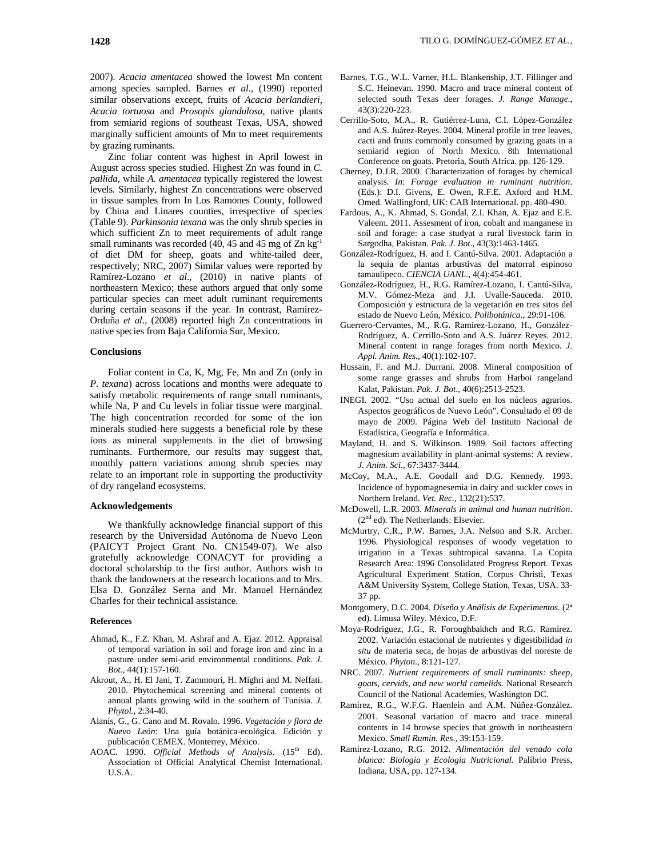2007). *Acacia amentacea* showed the lowest Mn content among species sampled. Barnes *et al*., (1990) reported similar observations except, fruits of *Acacia berlandieri*, *Acacia tortuosa* and *Prosopis glandulosa*, native plants from semiarid regions of southeast Texas, USA, showed marginally sufficient amounts of Mn to meet requirements by grazing ruminants.

Zinc foliar content was highest in April lowest in August across species studied. Highest Zn was found in *C. pallida,* while *A. amentacea* typically registered the lowest levels*.* Similarly, highest Zn concentrations were observed in tissue samples from In Los Ramones County, followed by China and Linares counties, irrespective of species (Table 9). *Parkinsonia texana* was the only shrub species in which sufficient Zn to meet requirements of adult range small ruminants was recorded (40, 45 and 45 mg of Zn kg<sup>-1</sup> of diet DM for sheep, goats and white-tailed deer, respectively; NRC, 2007) Similar values were reported by Ramírez-Lozano *et al*., (2010) in native plants of northeastern Mexico; these authors argued that only some particular species can meet adult ruminant requirements during certain seasons if the year. In contrast, Ramírez-Orduña *et al*., (2008) reported high Zn concentrations in native species from Baja California Sur, Mexico.

### **Conclusions**

Foliar content in Ca, K, Mg, Fe, Mn and Zn (only in *P. texana*) across locations and months were adequate to satisfy metabolic requirements of range small ruminants, while Na, P and Cu levels in foliar tissue were marginal. The high concentration recorded for some of the ion minerals studied here suggests a beneficial role by these ions as mineral supplements in the diet of browsing ruminants. Furthermore, our results may suggest that, monthly pattern variations among shrub species may relate to an important role in supporting the productivity of dry rangeland ecosystems.

## **Acknowledgements**

We thankfully acknowledge financial support of this research by the Universidad Autónoma de Nuevo Leon (PAICYT Project Grant No. CN1549-07). We also gratefully acknowledge CONACYT for providing a doctoral scholarship to the first author. Authors wish to thank the landowners at the research locations and to Mrs. Elsa D. González Serna and Mr. Manuel Hernández Charles for their technical assistance.

#### **References**

- Ahmad, K., F.Z. Khan, M. Ashraf and A. Ejaz. 2012. Appraisal of temporal variation in soil and forage iron and zinc in a pasture under semi-arid environmental conditions. *Pak. J. Bot.,* 44(1):157-160.
- Akrout, A., H. El Jani, T. Zammouri, H. Mighri and M. Neffati. 2010. Phytochemical screening and mineral contents of annual plants growing wild in the southern of Tunisia. *J. Phytol.,* 2:34-40.
- Alanís, G., G. Cano and M. Rovalo. 1996. *Vegetación y flora de Nuevo León*: Una guía botánica-ecológica. Edición y publicación CEMEX. Monterrey, México.
- AOAC. 1990. Official Methods of Analysis. (15<sup>th</sup> Ed). Association of Official Analytical Chemist International. U.S.A.
- Cerrillo-Soto, M.A., R. Gutiérrez-Luna, C.I. López-González and A.S. Juárez-Reyes. 2004. Mineral profile in tree leaves, cacti and fruits commonly consumed by grazing goats in a semiarid region of North Mexico. 8th International Conference on goats. Pretoria, South Africa. pp. 126-129.
- Cherney, D.J.R. 2000. Characterization of forages by chemical analysis. *In*: *Forage evaluation in ruminant nutrition*. (Eds.): D.I. Givens, E. Owen, R.F.E. Axford and H.M. Omed. Wallingford, UK: CAB International. pp. 480-490.
- Fardous, A., K. Ahmad, S. Gondal, Z.I. Khan, A. Ejaz and E.E. Valeem. 2011. Assesment of iron, cobalt and manganese in soil and forage: a case studyat a rural livestock farm in Sargodha, Pakistan. *Pak. J. Bot*., 43(3):1463-1465.
- González-Rodríguez, H. and I. Cantú-Silva. 2001. Adaptación a la sequía de plantas arbustivas del matorral espinoso tamaulipeco. *CIENCIA UANL*., 4(4):454-461.
- González-Rodríguez, H., R.G. Ramírez-Lozano, I. Cantú-Silva, M.V. Gómez-Meza and J.I. Uvalle-Sauceda. 2010. Composición y estructura de la vegetación en tres sitos del estado de Nuevo León, México. *Polibotánica*., 29:91-106.
- Guerrero-Cervantes, M., R.G. Ramírez-Lozano, H., González-Rodríguez, A. Cerrillo-Soto and A.S. Juárez Reyes. 2012. Mineral content in range forages from north Mexico. *J. Appl. Anim. Res.,* 40(1):102-107.
- Hussain, F. and M.J. Durrani. 2008. Mineral composition of some range grasses and shrubs from Harboi rangeland Kalat, Pakistan. *Pak. J. Bot*., 40(6):2513-2523.
- INEGI. 2002. "Uso actual del suelo en los núcleos agrarios. Aspectos geográficos de Nuevo León". Consultado el 09 de mayo de 2009. Página Web del Instituto Nacional de Estadística, Geografía e Informática.
- Mayland, H. and S. Wilkinson. 1989. Soil factors affecting magnesium availability in plant-animal systems: A review. *J. Anim. Sci*., 67:3437-3444.
- McCoy, M.A., A.E. Goodall and D.G. Kennedy. 1993. Incidence of hypomagnesemia in dairy and suckler cows in Northern Ireland. *Vet. Rec*., 132(21):537.
- McDowell, L.R. 2003. *Minerals in animal and human nutrition*.  $(2<sup>nd</sup>$ ed). The Netherlands: Elsevier.
- McMurtry, C.R., P.W. Barnes, J.A. Nelson and S.R. Archer. 1996. Physiological responses of woody vegetation to irrigation in a Texas subtropical savanna. La Copita Research Area: 1996 Consolidated Progress Report. Texas Agricultural Experiment Station, Corpus Christi, Texas A&M University System, College Station, Texas, USA. 33- 37 pp.
- Montgomery, D.C. 2004. *Diseño y Análisis de Experimentos*. (2ª ed). Limusa Wiley. México, D.F.
- Moya-Rodriguez, J.G., R. Foroughbakhch and R.G. Ramírez. 2002. Variación estacional de nutrientes y digestibilidad *in situ* de materia seca, de hojas de arbustivas del noreste de México. *Phyton*., 8:121-127.
- NRC. 2007. *Nutrient requirements of small ruminants: sheep, goats, cervids, and new world camelids*. National Research Council of the National Academies, Washington DC.
- Ramírez, R.G., W.F.G. Haenlein and A.M. Núñez-González. 2001. Seasonal variation of macro and trace mineral contents in 14 browse species that growth in northeastern Mexico. *Small Rumin. Res*., 39:153-159.
- Ramírez-Lozano, R.G. 2012. *Alimentación del venado cola blanca: Biologia y Ecologia Nutricional.* Palibrio Press, Indiana, USA, pp. 127-134.